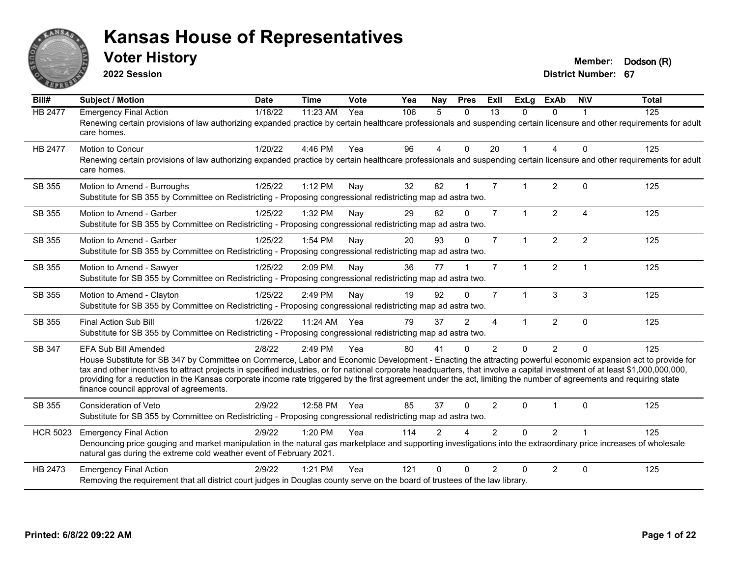

**2022 Session**

**Voter History Member: Dodson** (R)

| Bill#           | Subject / Motion                                                                                                                                                                                                                                                                                                                                                                                                                                                                                                                                                                            | <b>Date</b> | <b>Time</b> | Vote | Yea | Nay           | <b>Pres</b> | ExII           | <b>ExLg</b>  | <b>ExAb</b>    | <b>NIV</b>     | <b>Total</b> |
|-----------------|---------------------------------------------------------------------------------------------------------------------------------------------------------------------------------------------------------------------------------------------------------------------------------------------------------------------------------------------------------------------------------------------------------------------------------------------------------------------------------------------------------------------------------------------------------------------------------------------|-------------|-------------|------|-----|---------------|-------------|----------------|--------------|----------------|----------------|--------------|
| <b>HB 2477</b>  | <b>Emergency Final Action</b><br>Renewing certain provisions of law authorizing expanded practice by certain healthcare professionals and suspending certain licensure and other requirements for adult<br>care homes.                                                                                                                                                                                                                                                                                                                                                                      | 1/18/22     | 11:23 AM    | Yea  | 106 | 5             | $\Omega$    | 13             | $\Omega$     | 0              |                | 125          |
| <b>HB 2477</b>  | Motion to Concur<br>Renewing certain provisions of law authorizing expanded practice by certain healthcare professionals and suspending certain licensure and other requirements for adult<br>care homes.                                                                                                                                                                                                                                                                                                                                                                                   | 1/20/22     | 4:46 PM     | Yea  | 96  | 4             | $\mathbf 0$ | 20             |              | 4              | $\mathbf{0}$   | 125          |
| SB 355          | Motion to Amend - Burroughs<br>Substitute for SB 355 by Committee on Redistricting - Proposing congressional redistricting map ad astra two.                                                                                                                                                                                                                                                                                                                                                                                                                                                | 1/25/22     | 1:12 PM     | Nav  | 32  | 82            |             | $\overline{7}$ |              | $\overline{2}$ | $\Omega$       | 125          |
| SB 355          | Motion to Amend - Garber<br>Substitute for SB 355 by Committee on Redistricting - Proposing congressional redistricting map ad astra two.                                                                                                                                                                                                                                                                                                                                                                                                                                                   | 1/25/22     | 1:32 PM     | Nay  | 29  | 82            | $\Omega$    | $\overline{7}$ | $\mathbf{1}$ | $\overline{2}$ | $\overline{4}$ | 125          |
| SB 355          | Motion to Amend - Garber<br>Substitute for SB 355 by Committee on Redistricting - Proposing congressional redistricting map ad astra two.                                                                                                                                                                                                                                                                                                                                                                                                                                                   | 1/25/22     | 1:54 PM     | Nay  | 20  | 93            | $\Omega$    | $\overline{7}$ | 1            | $\overline{2}$ | $\overline{2}$ | 125          |
| SB 355          | Motion to Amend - Sawyer<br>Substitute for SB 355 by Committee on Redistricting - Proposing congressional redistricting map ad astra two.                                                                                                                                                                                                                                                                                                                                                                                                                                                   | 1/25/22     | 2:09 PM     | Nay  | 36  | 77            |             | $\overline{7}$ | $\mathbf 1$  | $\overline{2}$ | $\overline{1}$ | 125          |
| SB 355          | Motion to Amend - Clayton<br>Substitute for SB 355 by Committee on Redistricting - Proposing congressional redistricting map ad astra two.                                                                                                                                                                                                                                                                                                                                                                                                                                                  | 1/25/22     | 2:49 PM     | Nay  | 19  | 92            | $\Omega$    | $\overline{7}$ | $\mathbf 1$  | 3              | 3              | 125          |
| SB 355          | Final Action Sub Bill<br>Substitute for SB 355 by Committee on Redistricting - Proposing congressional redistricting map ad astra two.                                                                                                                                                                                                                                                                                                                                                                                                                                                      | 1/26/22     | 11:24 AM    | Yea  | 79  | 37            | 2           | 4              |              | $\overline{2}$ | $\mathbf{0}$   | 125          |
| SB 347          | EFA Sub Bill Amended<br>House Substitute for SB 347 by Committee on Commerce, Labor and Economic Development - Enacting the attracting powerful economic expansion act to provide for<br>tax and other incentives to attract projects in specified industries, or for national corporate headquarters, that involve a capital investment of at least \$1,000,000,000,000,<br>providing for a reduction in the Kansas corporate income rate triggered by the first agreement under the act, limiting the number of agreements and requiring state<br>finance council approval of agreements. | 2/8/22      | 2:49 PM     | Yea  | 80  | 41            | $\Omega$    | $\mathcal{P}$  | $\Omega$     | $\overline{2}$ | $\Omega$       | 125          |
| SB 355          | Consideration of Veto<br>Substitute for SB 355 by Committee on Redistricting - Proposing congressional redistricting map ad astra two.                                                                                                                                                                                                                                                                                                                                                                                                                                                      | 2/9/22      | 12:58 PM    | Yea  | 85  | 37            | $\Omega$    | $\overline{2}$ | 0            |                | $\Omega$       | 125          |
| <b>HCR 5023</b> | <b>Emergency Final Action</b><br>Denouncing price gouging and market manipulation in the natural gas marketplace and supporting investigations into the extraordinary price increases of wholesale<br>natural gas during the extreme cold weather event of February 2021.                                                                                                                                                                                                                                                                                                                   | 2/9/22      | 1:20 PM     | Yea  | 114 | $\mathcal{P}$ |             | $\mathcal{P}$  | $\Omega$     | $\overline{2}$ |                | 125          |
| HB 2473         | <b>Emergency Final Action</b><br>Removing the requirement that all district court judges in Douglas county serve on the board of trustees of the law library.                                                                                                                                                                                                                                                                                                                                                                                                                               | 2/9/22      | $1:21$ PM   | Yea  | 121 | ∩             | ∩           | $\mathfrak{p}$ | 0            | $\overline{2}$ | $\Omega$       | 125          |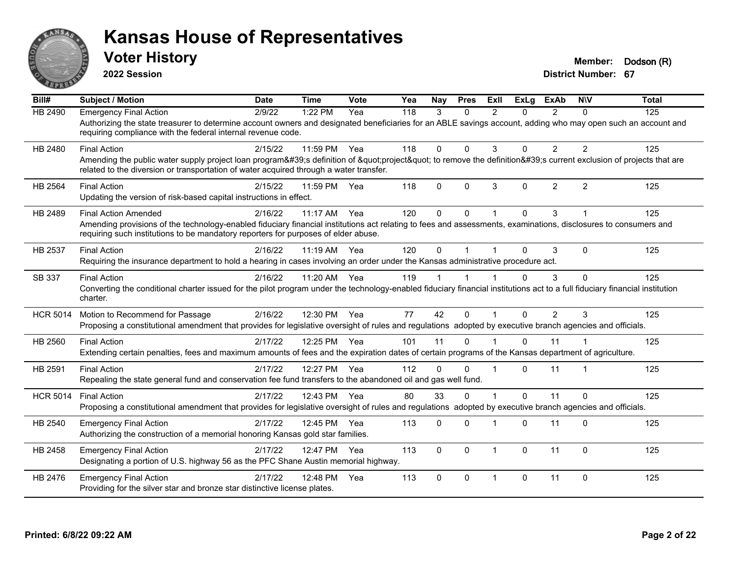

**2022 Session**

**Voter History Member: Dodson** (R)

| $\overline{BiII#}$ | <b>Subject / Motion</b>                                                                                                                                                                                                                                                              | <b>Date</b> | <b>Time</b> | <b>Vote</b> | Yea | <b>Nav</b> | <b>Pres</b> | ExII           | <b>ExLg</b> | <b>ExAb</b>    | <b>NIV</b>              | <b>Total</b> |
|--------------------|--------------------------------------------------------------------------------------------------------------------------------------------------------------------------------------------------------------------------------------------------------------------------------------|-------------|-------------|-------------|-----|------------|-------------|----------------|-------------|----------------|-------------------------|--------------|
| HB 2490            | <b>Emergency Final Action</b><br>Authorizing the state treasurer to determine account owners and designated beneficiaries for an ABLE savings account, adding who may open such an account and<br>requiring compliance with the federal internal revenue code.                       | 2/9/22      | 1:22 PM     | Yea         | 118 | 3          | $\Omega$    | $\mathcal{P}$  | 0           | $\overline{2}$ | $\Omega$                | 125          |
| HB 2480            | <b>Final Action</b><br>Amending the public water supply project loan program's definition of "project" to remove the definition's current exclusion of projects that are<br>related to the diversion or transportation of water acquired through a water transfer.                   | 2/15/22     | 11:59 PM    | Yea         | 118 | 0          | $\Omega$    | 3              | 0           | $\overline{2}$ | $\overline{2}$          | 125          |
| HB 2564            | <b>Final Action</b><br>Updating the version of risk-based capital instructions in effect.                                                                                                                                                                                            | 2/15/22     | 11:59 PM    | Yea         | 118 | 0          | $\Omega$    | 3              | 0           | $\overline{2}$ | $\overline{2}$          | 125          |
| HB 2489            | <b>Final Action Amended</b><br>Amending provisions of the technology-enabled fiduciary financial institutions act relating to fees and assessments, examinations, disclosures to consumers and<br>requiring such institutions to be mandatory reporters for purposes of elder abuse. | 2/16/22     | $11:17$ AM  | Yea         | 120 | 0          | $\Omega$    |                | 0           | 3              |                         | 125          |
| HB 2537            | <b>Final Action</b><br>Requiring the insurance department to hold a hearing in cases involving an order under the Kansas administrative procedure act.                                                                                                                               | 2/16/22     | $11:19$ AM  | Yea         | 120 | 0          |             |                | 0           | 3              | $\Omega$                | 125          |
| SB 337             | <b>Final Action</b><br>Converting the conditional charter issued for the pilot program under the technology-enabled fiduciary financial institutions act to a full fiduciary financial institution<br>charter.                                                                       | 2/16/22     | 11:20 AM    | Yea         | 119 |            |             |                | 0           | 3              | $\Omega$                | 125          |
| <b>HCR 5014</b>    | Motion to Recommend for Passage<br>Proposing a constitutional amendment that provides for legislative oversight of rules and regulations adopted by executive branch agencies and officials.                                                                                         | 2/16/22     | 12:30 PM    | Yea         | 77  | 42         | $\Omega$    | $\overline{1}$ | $\Omega$    | $\overline{2}$ | 3                       | 125          |
| HB 2560            | <b>Final Action</b><br>Extending certain penalties, fees and maximum amounts of fees and the expiration dates of certain programs of the Kansas department of agriculture.                                                                                                           | 2/17/22     | 12:25 PM    | Yea         | 101 | 11         | $\Omega$    |                | 0           | 11             |                         | 125          |
| HB 2591            | <b>Final Action</b><br>Repealing the state general fund and conservation fee fund transfers to the abandoned oil and gas well fund.                                                                                                                                                  | 2/17/22     | 12:27 PM    | Yea         | 112 | $\Omega$   | $\Omega$    |                | 0           | 11             | $\overline{\mathbf{1}}$ | 125          |
| <b>HCR 5014</b>    | <b>Final Action</b><br>Proposing a constitutional amendment that provides for legislative oversight of rules and regulations adopted by executive branch agencies and officials.                                                                                                     | 2/17/22     | 12:43 PM    | Yea         | 80  | 33         | $\Omega$    |                | 0           | 11             | $\mathbf 0$             | 125          |
| HB 2540            | <b>Emergency Final Action</b><br>Authorizing the construction of a memorial honoring Kansas gold star families.                                                                                                                                                                      | 2/17/22     | 12:45 PM    | Yea         | 113 | 0          | $\Omega$    |                | 0           | 11             | $\Omega$                | 125          |
| HB 2458            | <b>Emergency Final Action</b><br>Designating a portion of U.S. highway 56 as the PFC Shane Austin memorial highway.                                                                                                                                                                  | 2/17/22     | 12:47 PM    | Yea         | 113 | 0          | $\Omega$    | $\overline{1}$ | $\Omega$    | 11             | $\Omega$                | 125          |
| HB 2476            | <b>Emergency Final Action</b><br>Providing for the silver star and bronze star distinctive license plates.                                                                                                                                                                           | 2/17/22     | 12:48 PM    | Yea         | 113 | 0          | $\Omega$    | $\overline{1}$ | 0           | 11             | $\Omega$                | 125          |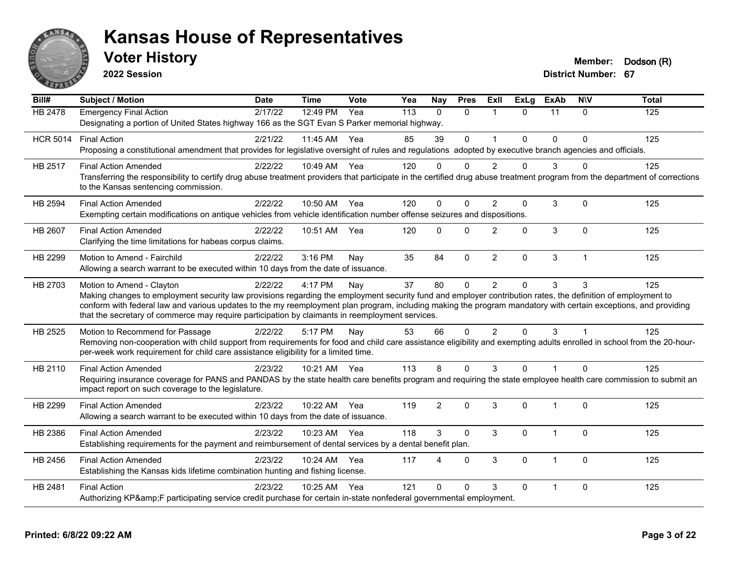

**2022 Session**

**Voter History Member: Dodson** (R)

| Bill#           | <b>Subject / Motion</b>                                                                                                                                                                                                                                                                                                                                                                                                                                         | <b>Date</b> | <b>Time</b>  | Vote | Yea | <b>Nay</b>               | <b>Pres</b>  | ExIl           | <b>ExLg</b>  | <b>ExAb</b>          | <b>NIV</b>     | <b>Total</b> |
|-----------------|-----------------------------------------------------------------------------------------------------------------------------------------------------------------------------------------------------------------------------------------------------------------------------------------------------------------------------------------------------------------------------------------------------------------------------------------------------------------|-------------|--------------|------|-----|--------------------------|--------------|----------------|--------------|----------------------|----------------|--------------|
| <b>HB 2478</b>  | <b>Emergency Final Action</b><br>Designating a portion of United States highway 166 as the SGT Evan S Parker memorial highway.                                                                                                                                                                                                                                                                                                                                  | 2/17/22     | 12:49 PM     | Yea  | 113 | $\Omega$                 | $\Omega$     | $\overline{1}$ | $\Omega$     | 11                   | $\Omega$       | 125          |
| <b>HCR 5014</b> | <b>Final Action</b><br>Proposing a constitutional amendment that provides for legislative oversight of rules and regulations adopted by executive branch agencies and officials.                                                                                                                                                                                                                                                                                | 2/21/22     | 11:45 AM     | Yea  | 85  | 39                       | $\Omega$     | $\overline{ }$ | $\mathbf{0}$ | $\Omega$             | $\Omega$       | 125          |
| HB 2517         | <b>Final Action Amended</b><br>Transferring the responsibility to certify drug abuse treatment providers that participate in the certified drug abuse treatment program from the department of corrections<br>to the Kansas sentencing commission.                                                                                                                                                                                                              | 2/22/22     | 10:49 AM Yea |      | 120 | $\Omega$                 | ∩            | $\mathcal{P}$  | O            | 3                    | $\Omega$       | 125          |
| HB 2594         | <b>Final Action Amended</b><br>Exempting certain modifications on antique vehicles from vehicle identification number offense seizures and dispositions.                                                                                                                                                                                                                                                                                                        | 2/22/22     | 10:50 AM Yea |      | 120 | $\Omega$                 | $\Omega$     | $\mathcal{P}$  | $\mathbf{0}$ | 3                    | $\Omega$       | 125          |
| HB 2607         | <b>Final Action Amended</b><br>Clarifying the time limitations for habeas corpus claims.                                                                                                                                                                                                                                                                                                                                                                        | 2/22/22     | 10:51 AM     | Yea  | 120 | $\Omega$                 | $\mathbf{0}$ | 2              | $\mathbf{0}$ | 3                    | $\Omega$       | 125          |
| HB 2299         | Motion to Amend - Fairchild<br>Allowing a search warrant to be executed within 10 days from the date of issuance.                                                                                                                                                                                                                                                                                                                                               | 2/22/22     | $3:16$ PM    | Nay  | 35  | 84                       | $\mathbf 0$  | $\overline{2}$ | $\mathbf{0}$ | 3                    | $\overline{1}$ | 125          |
| HB 2703         | Motion to Amend - Clayton<br>Making changes to employment security law provisions regarding the employment security fund and employer contribution rates, the definition of employment to<br>conform with federal law and various updates to the my reemployment plan program, including making the program mandatory with certain exceptions, and providing<br>that the secretary of commerce may require participation by claimants in reemployment services. | 2/22/22     | 4:17 PM      | Nay  | 37  | 80                       | $\Omega$     | $\overline{2}$ | $\Omega$     | 3                    | 3              | 125          |
| HB 2525         | Motion to Recommend for Passage<br>Removing non-cooperation with child support from requirements for food and child care assistance eligibility and exempting adults enrolled in school from the 20-hour-<br>per-week work requirement for child care assistance eligibility for a limited time.                                                                                                                                                                | 2/22/22     | 5:17 PM      | Nay  | 53  | 66                       | $\Omega$     | 2              | $\Omega$     | 3                    |                | 125          |
| HB 2110         | <b>Final Action Amended</b><br>Requiring insurance coverage for PANS and PANDAS by the state health care benefits program and requiring the state employee health care commission to submit an<br>impact report on such coverage to the legislature.                                                                                                                                                                                                            | 2/23/22     | 10:21 AM Yea |      | 113 | 8                        | $\Omega$     | 3              | $\Omega$     | $\blacktriangleleft$ | $\Omega$       | 125          |
| HB 2299         | <b>Final Action Amended</b><br>Allowing a search warrant to be executed within 10 days from the date of issuance.                                                                                                                                                                                                                                                                                                                                               | 2/23/22     | 10:22 AM     | Yea  | 119 | 2                        | $\Omega$     | 3              | $\mathbf{0}$ | $\mathbf{1}$         | $\Omega$       | 125          |
| HB 2386         | <b>Final Action Amended</b><br>Establishing requirements for the payment and reimbursement of dental services by a dental benefit plan.                                                                                                                                                                                                                                                                                                                         | 2/23/22     | 10:23 AM Yea |      | 118 | 3                        | $\Omega$     | 3              | $\Omega$     | $\mathbf{1}$         | $\mathbf{0}$   | 125          |
| HB 2456         | <b>Final Action Amended</b><br>Establishing the Kansas kids lifetime combination hunting and fishing license.                                                                                                                                                                                                                                                                                                                                                   | 2/23/22     | 10:24 AM     | Yea  | 117 | $\boldsymbol{\varDelta}$ | $\Omega$     | 3              | $\mathbf{0}$ | $\mathbf 1$          | $\Omega$       | 125          |
| HB 2481         | <b>Final Action</b><br>Authorizing KP&F participating service credit purchase for certain in-state nonfederal governmental employment.                                                                                                                                                                                                                                                                                                                          | 2/23/22     | 10:25 AM     | Yea  | 121 | $\Omega$                 | $\Omega$     | 3              | $\Omega$     | $\overline{1}$       | $\mathbf{0}$   | 125          |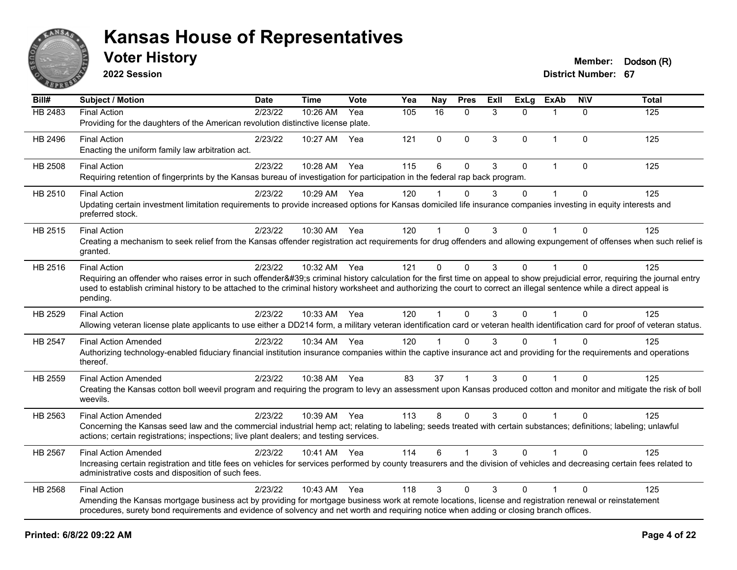

**2022 Session**

**Voter History Member: Dodson** (R)

| Bill#          | <b>Subject / Motion</b>                                                                                                                                                                                                                                                                                                                                         | Date             | <b>Time</b>  | Vote | Yea | <b>Nay</b> | <b>Pres</b>  | Exll | <b>ExLg</b> | <b>ExAb</b>  | <b>NIV</b>   | <b>Total</b> |
|----------------|-----------------------------------------------------------------------------------------------------------------------------------------------------------------------------------------------------------------------------------------------------------------------------------------------------------------------------------------------------------------|------------------|--------------|------|-----|------------|--------------|------|-------------|--------------|--------------|--------------|
| HB 2483        | <b>Final Action</b>                                                                                                                                                                                                                                                                                                                                             | $\sqrt{2}/23/22$ | 10:26 AM     | Yea  | 105 | 16         | $\Omega$     | 3    | 0           |              | $\Omega$     | 125          |
|                | Providing for the daughters of the American revolution distinctive license plate.                                                                                                                                                                                                                                                                               |                  |              |      |     |            |              |      |             |              |              |              |
| HB 2496        | <b>Final Action</b>                                                                                                                                                                                                                                                                                                                                             | 2/23/22          | 10:27 AM     | Yea  | 121 | 0          | $\Omega$     | 3    | $\Omega$    | $\mathbf 1$  | $\Omega$     | 125          |
|                | Enacting the uniform family law arbitration act.                                                                                                                                                                                                                                                                                                                |                  |              |      |     |            |              |      |             |              |              |              |
| HB 2508        | <b>Final Action</b>                                                                                                                                                                                                                                                                                                                                             | 2/23/22          | 10:28 AM     | Yea  | 115 | 6          | $\mathbf 0$  | 3    | $\mathbf 0$ | $\mathbf{1}$ | $\Omega$     | 125          |
|                | Requiring retention of fingerprints by the Kansas bureau of investigation for participation in the federal rap back program.                                                                                                                                                                                                                                    |                  |              |      |     |            |              |      |             |              |              |              |
| HB 2510        | <b>Final Action</b>                                                                                                                                                                                                                                                                                                                                             | 2/23/22          | 10:29 AM     | Yea  | 120 |            | $\Omega$     | 3    | $\Omega$    |              | $\Omega$     | 125          |
|                | Updating certain investment limitation requirements to provide increased options for Kansas domiciled life insurance companies investing in equity interests and<br>preferred stock.                                                                                                                                                                            |                  |              |      |     |            |              |      |             |              |              |              |
| HB 2515        | <b>Final Action</b>                                                                                                                                                                                                                                                                                                                                             | 2/23/22          | 10:30 AM Yea |      | 120 | 1          | $\Omega$     | 3    | $\Omega$    |              | $\Omega$     | 125          |
|                | Creating a mechanism to seek relief from the Kansas offender registration act requirements for drug offenders and allowing expungement of offenses when such relief is<br>granted.                                                                                                                                                                              |                  |              |      |     |            |              |      |             |              |              |              |
| HB 2516        | <b>Final Action</b>                                                                                                                                                                                                                                                                                                                                             | 2/23/22          | 10:32 AM     | Yea  | 121 | 0          | $\Omega$     | 3    | 0           |              | $\Omega$     | 125          |
|                | Requiring an offender who raises error in such offender's criminal history calculation for the first time on appeal to show prejudicial error, requiring the journal entry<br>used to establish criminal history to be attached to the criminal history worksheet and authorizing the court to correct an illegal sentence while a direct appeal is<br>pending. |                  |              |      |     |            |              |      |             |              |              |              |
| HB 2529        | <b>Final Action</b>                                                                                                                                                                                                                                                                                                                                             | 2/23/22          | 10:33 AM     | Yea  | 120 | 1          | $\Omega$     | 3    | $\Omega$    | 1            | $\Omega$     | 125          |
|                | Allowing veteran license plate applicants to use either a DD214 form, a military veteran identification card or veteran health identification card for proof of veteran status.                                                                                                                                                                                 |                  |              |      |     |            |              |      |             |              |              |              |
| <b>HB 2547</b> | <b>Final Action Amended</b>                                                                                                                                                                                                                                                                                                                                     | 2/23/22          | 10:34 AM Yea |      | 120 | 1          | $\mathbf{0}$ | 3    | 0           |              | $\Omega$     | 125          |
|                | Authorizing technology-enabled fiduciary financial institution insurance companies within the captive insurance act and providing for the requirements and operations<br>thereof.                                                                                                                                                                               |                  |              |      |     |            |              |      |             |              |              |              |
| HB 2559        | <b>Final Action Amended</b>                                                                                                                                                                                                                                                                                                                                     | 2/23/22          | 10:38 AM     | Yea  | 83  | 37         |              | 3    | $\Omega$    |              | $\Omega$     | 125          |
|                | Creating the Kansas cotton boll weevil program and requiring the program to levy an assessment upon Kansas produced cotton and monitor and mitigate the risk of boll<br>weevils.                                                                                                                                                                                |                  |              |      |     |            |              |      |             |              |              |              |
| HB 2563        | <b>Final Action Amended</b>                                                                                                                                                                                                                                                                                                                                     | 2/23/22          | 10:39 AM Yea |      | 113 | 8          | $\Omega$     | 3    | $\Omega$    | $\mathbf{1}$ | $\Omega$     | 125          |
|                | Concerning the Kansas seed law and the commercial industrial hemp act; relating to labeling; seeds treated with certain substances; definitions; labeling; unlawful<br>actions; certain registrations; inspections; live plant dealers; and testing services.                                                                                                   |                  |              |      |     |            |              |      |             |              |              |              |
| HB 2567        | <b>Final Action Amended</b>                                                                                                                                                                                                                                                                                                                                     | 2/23/22          | 10:41 AM Yea |      | 114 | 6          |              | 3    | 0           |              | $\mathbf{0}$ | 125          |
|                | Increasing certain registration and title fees on vehicles for services performed by county treasurers and the division of vehicles and decreasing certain fees related to<br>administrative costs and disposition of such fees.                                                                                                                                |                  |              |      |     |            |              |      |             |              |              |              |
| HB 2568        | <b>Final Action</b>                                                                                                                                                                                                                                                                                                                                             | 2/23/22          | 10:43 AM     | Yea  | 118 | 3          | $\Omega$     | 3    | $\Omega$    |              | $\Omega$     | 125          |
|                | Amending the Kansas mortgage business act by providing for mortgage business work at remote locations, license and registration renewal or reinstatement<br>procedures, surety bond requirements and evidence of solvency and net worth and requiring notice when adding or closing branch offices.                                                             |                  |              |      |     |            |              |      |             |              |              |              |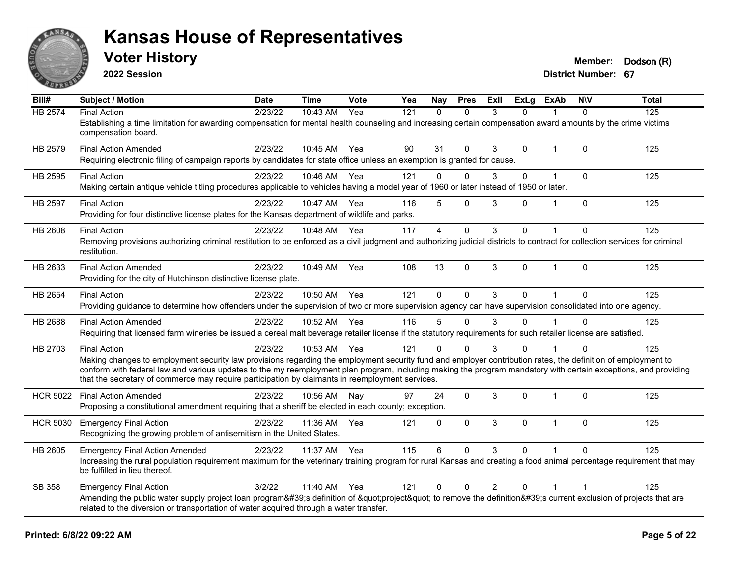

**2022 Session**

**Voter History Member: Dodson** (R)

| Bill#           | <b>Subject / Motion</b>                                                                                                                                                                                                                                            | <b>Date</b> | <b>Time</b>  | <b>Vote</b> | Yea | Nay          | <b>Pres</b>  | ExII           | <b>ExLg</b> | <b>ExAb</b>    | <b>NIV</b>   | <b>Total</b> |
|-----------------|--------------------------------------------------------------------------------------------------------------------------------------------------------------------------------------------------------------------------------------------------------------------|-------------|--------------|-------------|-----|--------------|--------------|----------------|-------------|----------------|--------------|--------------|
| <b>HB 2574</b>  | <b>Final Action</b>                                                                                                                                                                                                                                                | 2/23/22     | 10:43 AM     | Yea         | 121 | $\mathbf{0}$ | $\Omega$     | 3              | $\Omega$    |                | $\Omega$     | 125          |
|                 | Establishing a time limitation for awarding compensation for mental health counseling and increasing certain compensation award amounts by the crime victims<br>compensation board.                                                                                |             |              |             |     |              |              |                |             |                |              |              |
| HB 2579         | <b>Final Action Amended</b>                                                                                                                                                                                                                                        | 2/23/22     | 10:45 AM Yea |             | 90  | 31           | $\Omega$     | 3              | 0           | $\overline{1}$ | $\Omega$     | 125          |
|                 | Requiring electronic filing of campaign reports by candidates for state office unless an exemption is granted for cause.                                                                                                                                           |             |              |             |     |              |              |                |             |                |              |              |
| HB 2595         | <b>Final Action</b>                                                                                                                                                                                                                                                | 2/23/22     | 10:46 AM     | Yea         | 121 | $\mathbf 0$  | $\mathbf 0$  | 3              | 0           | 1              | $\mathbf 0$  | 125          |
|                 | Making certain antique vehicle titling procedures applicable to vehicles having a model year of 1960 or later instead of 1950 or later.                                                                                                                            |             |              |             |     |              |              |                |             |                |              |              |
| <b>HB 2597</b>  | <b>Final Action</b>                                                                                                                                                                                                                                                | 2/23/22     | 10:47 AM     | Yea         | 116 | 5            | $\Omega$     | 3              | 0           | $\overline{1}$ | $\Omega$     | 125          |
|                 | Providing for four distinctive license plates for the Kansas department of wildlife and parks.                                                                                                                                                                     |             |              |             |     |              |              |                |             |                |              |              |
| <b>HB 2608</b>  | <b>Final Action</b>                                                                                                                                                                                                                                                | 2/23/22     | 10:48 AM     | Yea         | 117 | 4            | $\mathbf 0$  | 3              | 0           |                | $\mathbf{0}$ | 125          |
|                 | Removing provisions authorizing criminal restitution to be enforced as a civil judgment and authorizing judicial districts to contract for collection services for criminal<br>restitution.                                                                        |             |              |             |     |              |              |                |             |                |              |              |
| HB 2633         | <b>Final Action Amended</b>                                                                                                                                                                                                                                        | 2/23/22     | 10:49 AM     | Yea         | 108 | 13           | $\mathbf 0$  | 3              | 0           | $\mathbf{1}$   | $\Omega$     | 125          |
|                 | Providing for the city of Hutchinson distinctive license plate.                                                                                                                                                                                                    |             |              |             |     |              |              |                |             |                |              |              |
| HB 2654         | <b>Final Action</b>                                                                                                                                                                                                                                                | 2/23/22     | 10:50 AM     | Yea         | 121 | $\Omega$     | $\Omega$     | 3              | $\Omega$    | $\overline{1}$ | $\Omega$     | 125          |
|                 | Providing guidance to determine how offenders under the supervision of two or more supervision agency can have supervision consolidated into one agency.                                                                                                           |             |              |             |     |              |              |                |             |                |              |              |
| <b>HB 2688</b>  | <b>Final Action Amended</b>                                                                                                                                                                                                                                        | 2/23/22     | 10:52 AM     | Yea         | 116 | 5            | $\Omega$     | 3              | 0           |                | $\Omega$     | 125          |
|                 | Requiring that licensed farm wineries be issued a cereal malt beverage retailer license if the statutory requirements for such retailer license are satisfied.                                                                                                     |             |              |             |     |              |              |                |             |                |              |              |
| HB 2703         | <b>Final Action</b>                                                                                                                                                                                                                                                | 2/23/22     | 10:53 AM Yea |             | 121 | $\mathbf{0}$ | $\Omega$     | 3              | 0           |                | $\Omega$     | 125          |
|                 | Making changes to employment security law provisions regarding the employment security fund and employer contribution rates, the definition of employment to                                                                                                       |             |              |             |     |              |              |                |             |                |              |              |
|                 | conform with federal law and various updates to the my reemployment plan program, including making the program mandatory with certain exceptions, and providing<br>that the secretary of commerce may require participation by claimants in reemployment services. |             |              |             |     |              |              |                |             |                |              |              |
| <b>HCR 5022</b> | <b>Final Action Amended</b>                                                                                                                                                                                                                                        | 2/23/22     | 10:56 AM     | Nav         | 97  | 24           | $\mathbf 0$  | 3              | 0           | 1              | $\mathbf 0$  | 125          |
|                 | Proposing a constitutional amendment requiring that a sheriff be elected in each county; exception.                                                                                                                                                                |             |              |             |     |              |              |                |             |                |              |              |
| <b>HCR 5030</b> | <b>Emergency Final Action</b>                                                                                                                                                                                                                                      | 2/23/22     | 11:36 AM     | Yea         | 121 | $\mathbf{0}$ | $\mathbf{0}$ | 3              | $\Omega$    | 1              | $\Omega$     | 125          |
|                 | Recognizing the growing problem of antisemitism in the United States.                                                                                                                                                                                              |             |              |             |     |              |              |                |             |                |              |              |
| HB 2605         | <b>Emergency Final Action Amended</b>                                                                                                                                                                                                                              | 2/23/22     | 11:37 AM     | Yea         | 115 | 6            | $\Omega$     | 3              | $\Omega$    |                | $\Omega$     | 125          |
|                 | Increasing the rural population requirement maximum for the veterinary training program for rural Kansas and creating a food animal percentage requirement that may<br>be fulfilled in lieu thereof.                                                               |             |              |             |     |              |              |                |             |                |              |              |
| SB 358          | <b>Emergency Final Action</b>                                                                                                                                                                                                                                      | 3/2/22      | 11:40 AM     | Yea         | 121 | $\Omega$     | $\mathbf 0$  | $\overline{2}$ | 0           | $\overline{1}$ |              | 125          |
|                 | Amending the public water supply project loan program's definition of "project" to remove the definition's current exclusion of projects that are                                                                                                                  |             |              |             |     |              |              |                |             |                |              |              |
|                 | related to the diversion or transportation of water acquired through a water transfer.                                                                                                                                                                             |             |              |             |     |              |              |                |             |                |              |              |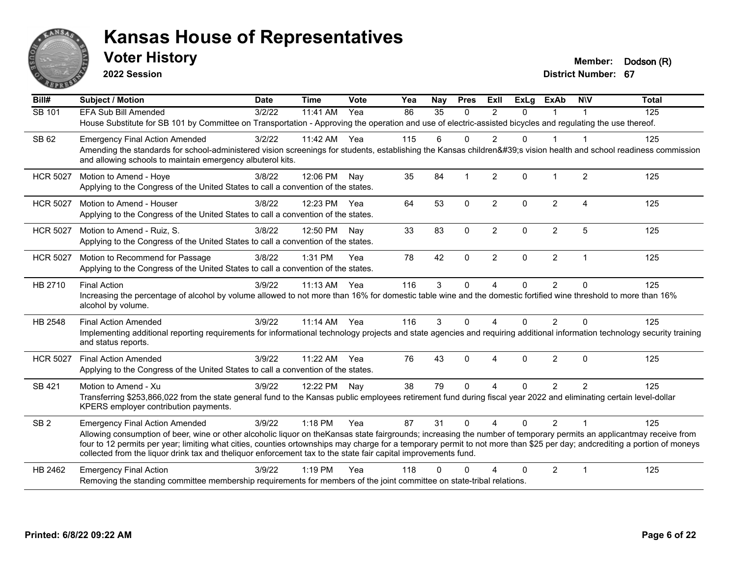

**2022 Session**

**Voter History Member: Dodson** (R)

| $\overline{BiII#}$ | Subject / Motion                                                                                                                                                                                                                                                                            | <b>Date</b> | <b>Time</b>  | Vote | Yea | Nay | <b>Pres</b>  | ExII           | <b>ExLg</b>  | <b>ExAb</b>    | <b>NIV</b>     | <b>Total</b> |
|--------------------|---------------------------------------------------------------------------------------------------------------------------------------------------------------------------------------------------------------------------------------------------------------------------------------------|-------------|--------------|------|-----|-----|--------------|----------------|--------------|----------------|----------------|--------------|
| SB 101             | <b>EFA Sub Bill Amended</b>                                                                                                                                                                                                                                                                 | 3/2/22      | 11:41 AM     | Yea  | 86  | 35  | $\Omega$     | $\mathcal{P}$  | $\Omega$     |                |                | 125          |
|                    | House Substitute for SB 101 by Committee on Transportation - Approving the operation and use of electric-assisted bicycles and regulating the use thereof.                                                                                                                                  |             |              |      |     |     |              |                |              |                |                |              |
| SB 62              | <b>Emergency Final Action Amended</b>                                                                                                                                                                                                                                                       | 3/2/22      | 11:42 AM Yea |      | 115 | 6   | $\Omega$     | $\overline{2}$ | $\Omega$     |                | -1             | 125          |
|                    | Amending the standards for school-administered vision screenings for students, establishing the Kansas children's vision health and school readiness commission                                                                                                                             |             |              |      |     |     |              |                |              |                |                |              |
|                    | and allowing schools to maintain emergency albuterol kits.                                                                                                                                                                                                                                  |             |              |      |     |     |              |                |              |                |                |              |
| <b>HCR 5027</b>    | Motion to Amend - Hoye                                                                                                                                                                                                                                                                      | 3/8/22      | 12:06 PM     | Nav  | 35  | 84  |              | $\overline{2}$ | 0            |                | 2              | 125          |
|                    | Applying to the Congress of the United States to call a convention of the states.                                                                                                                                                                                                           |             |              |      |     |     |              |                |              |                |                |              |
| <b>HCR 5027</b>    | Motion to Amend - Houser                                                                                                                                                                                                                                                                    | 3/8/22      | 12:23 PM Yea |      | 64  | 53  | $\mathbf 0$  | $\overline{2}$ | $\mathbf{0}$ | $\overline{2}$ | 4              | 125          |
|                    | Applying to the Congress of the United States to call a convention of the states.                                                                                                                                                                                                           |             |              |      |     |     |              |                |              |                |                |              |
| <b>HCR 5027</b>    | Motion to Amend - Ruiz, S.                                                                                                                                                                                                                                                                  | 3/8/22      | 12:50 PM     | Nav  | 33  | 83  | $\mathbf 0$  | $\overline{2}$ | $\mathbf 0$  | $\overline{c}$ | 5              | 125          |
|                    | Applying to the Congress of the United States to call a convention of the states.                                                                                                                                                                                                           |             |              |      |     |     |              |                |              |                |                |              |
| <b>HCR 5027</b>    | Motion to Recommend for Passage                                                                                                                                                                                                                                                             | 3/8/22      | 1:31 PM      | Yea  | 78  | 42  | $\Omega$     | $\overline{2}$ | 0            | $\overline{2}$ | $\mathbf{1}$   | 125          |
|                    | Applying to the Congress of the United States to call a convention of the states.                                                                                                                                                                                                           |             |              |      |     |     |              |                |              |                |                |              |
| HB 2710            | <b>Final Action</b>                                                                                                                                                                                                                                                                         | 3/9/22      | $11:13$ AM   | Yea  | 116 | 3   | $\mathbf{0}$ | $\overline{A}$ | 0            | $\overline{2}$ | $\Omega$       | 125          |
|                    | Increasing the percentage of alcohol by volume allowed to not more than 16% for domestic table wine and the domestic fortified wine threshold to more than 16%                                                                                                                              |             |              |      |     |     |              |                |              |                |                |              |
|                    | alcohol by volume.                                                                                                                                                                                                                                                                          |             |              |      |     |     |              |                |              |                |                |              |
| HB 2548            | <b>Final Action Amended</b>                                                                                                                                                                                                                                                                 | 3/9/22      | $11:14$ AM   | Yea  | 116 | 3   | $\mathbf{0}$ | 4              | $\Omega$     | $\overline{2}$ | 0              | 125          |
|                    | Implementing additional reporting requirements for informational technology projects and state agencies and requiring additional information technology security training<br>and status reports.                                                                                            |             |              |      |     |     |              |                |              |                |                |              |
| <b>HCR 5027</b>    | <b>Final Action Amended</b>                                                                                                                                                                                                                                                                 | 3/9/22      | 11:22 AM     | Yea  | 76  | 43  | $\Omega$     | 4              | $\mathbf{0}$ | $\overline{2}$ | $\Omega$       | 125          |
|                    | Applying to the Congress of the United States to call a convention of the states.                                                                                                                                                                                                           |             |              |      |     |     |              |                |              |                |                |              |
| SB 421             | Motion to Amend - Xu                                                                                                                                                                                                                                                                        | 3/9/22      | 12:22 PM     | Nay  | 38  | 79  | $\Omega$     | 4              | 0            | $\overline{2}$ | 2              | 125          |
|                    | Transferring \$253,866,022 from the state general fund to the Kansas public employees retirement fund during fiscal year 2022 and eliminating certain level-dollar                                                                                                                          |             |              |      |     |     |              |                |              |                |                |              |
|                    | KPERS employer contribution payments.                                                                                                                                                                                                                                                       |             |              |      |     |     |              |                |              |                |                |              |
| SB <sub>2</sub>    | <b>Emergency Final Action Amended</b>                                                                                                                                                                                                                                                       | 3/9/22      | 1:18 PM      | Yea  | 87  | 31  | $\Omega$     | $\overline{A}$ | $\Omega$     | $\mathcal{P}$  | $\overline{1}$ | 125          |
|                    | Allowing consumption of beer, wine or other alcoholic liquor on theKansas state fairgrounds; increasing the number of temporary permits an applicantmay receive from                                                                                                                        |             |              |      |     |     |              |                |              |                |                |              |
|                    | four to 12 permits per year; limiting what cities, counties ortownships may charge for a temporary permit to not more than \$25 per day; andcrediting a portion of moneys<br>collected from the liquor drink tax and theliquor enforcement tax to the state fair capital improvements fund. |             |              |      |     |     |              |                |              |                |                |              |
| HB 2462            | <b>Emergency Final Action</b>                                                                                                                                                                                                                                                               | 3/9/22      | $1:19$ PM    | Yea  | 118 |     | $\Omega$     | Δ              | 0            | $\overline{2}$ | $\overline{1}$ | 125          |
|                    | Removing the standing committee membership requirements for members of the joint committee on state-tribal relations.                                                                                                                                                                       |             |              |      |     |     |              |                |              |                |                |              |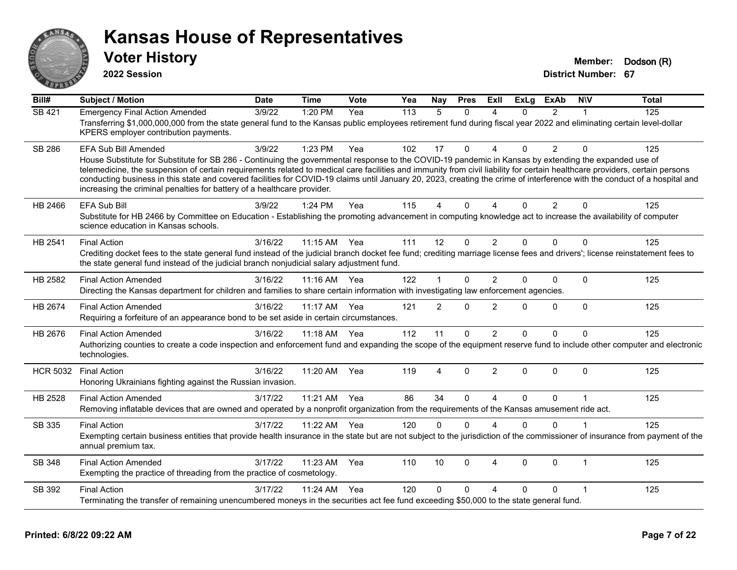

**2022 Session**

**Voter History Member: Dodson** (R)

| Bill#           | <b>Subject / Motion</b>                                                                                                                                                                                                                                                                                                                                                                                                                                                                                                                                                                                               | <b>Date</b> | <b>Time</b> | Vote | Yea | Nay            | <b>Pres</b>  | ExII                   | <b>ExLg</b> | <b>ExAb</b>    | <b>NIV</b>   | <b>Total</b> |
|-----------------|-----------------------------------------------------------------------------------------------------------------------------------------------------------------------------------------------------------------------------------------------------------------------------------------------------------------------------------------------------------------------------------------------------------------------------------------------------------------------------------------------------------------------------------------------------------------------------------------------------------------------|-------------|-------------|------|-----|----------------|--------------|------------------------|-------------|----------------|--------------|--------------|
| <b>SB 421</b>   | <b>Emergency Final Action Amended</b><br>Transferring \$1,000,000,000 from the state general fund to the Kansas public employees retirement fund during fiscal year 2022 and eliminating certain level-dollar<br>KPERS employer contribution payments.                                                                                                                                                                                                                                                                                                                                                                | 3/9/22      | 1:20 PM     | Yea  | 113 | 5              | $\Omega$     | 4                      | $\Omega$    | $\overline{2}$ | 1            | 125          |
| <b>SB 286</b>   | EFA Sub Bill Amended<br>House Substitute for Substitute for SB 286 - Continuing the governmental response to the COVID-19 pandemic in Kansas by extending the expanded use of<br>telemedicine, the suspension of certain requirements related to medical care facilities and immunity from civil liability for certain healthcare providers, certain persons<br>conducting business in this state and covered facilities for COVID-19 claims until January 20, 2023, creating the crime of interference with the conduct of a hospital and<br>increasing the criminal penalties for battery of a healthcare provider. | 3/9/22      | 1:23 PM     | Yea  | 102 | 17             | $\Omega$     | $\boldsymbol{\Delta}$  | $\Omega$    | $\overline{2}$ | $\Omega$     | 125          |
| HB 2466         | <b>EFA Sub Bill</b><br>Substitute for HB 2466 by Committee on Education - Establishing the promoting advancement in computing knowledge act to increase the availability of computer<br>science education in Kansas schools.                                                                                                                                                                                                                                                                                                                                                                                          | 3/9/22      | 1:24 PM     | Yea  | 115 | 4              | $\mathbf{0}$ | $\Delta$               | $\Omega$    | $\overline{2}$ | 0            | 125          |
| HB 2541         | <b>Final Action</b><br>Crediting docket fees to the state general fund instead of the judicial branch docket fee fund; crediting marriage license fees and drivers'; license reinstatement fees to<br>the state general fund instead of the judicial branch nonjudicial salary adjustment fund.                                                                                                                                                                                                                                                                                                                       | 3/16/22     | 11:15 AM    | Yea  | 111 | 12             | $\Omega$     | $\overline{2}$         | $\Omega$    | $\Omega$       | $\Omega$     | 125          |
| HB 2582         | <b>Final Action Amended</b><br>Directing the Kansas department for children and families to share certain information with investigating law enforcement agencies.                                                                                                                                                                                                                                                                                                                                                                                                                                                    | 3/16/22     | $11:16$ AM  | Yea  | 122 | 1              | $\Omega$     | $\overline{2}$         | $\Omega$    | $\Omega$       | $\Omega$     | 125          |
| HB 2674         | <b>Final Action Amended</b><br>Requiring a forfeiture of an appearance bond to be set aside in certain circumstances.                                                                                                                                                                                                                                                                                                                                                                                                                                                                                                 | 3/16/22     | 11:17 AM    | Yea  | 121 | $\overline{2}$ | $\mathbf{0}$ | $\overline{2}$         | $\Omega$    | 0              | $\Omega$     | 125          |
| HB 2676         | <b>Final Action Amended</b><br>Authorizing counties to create a code inspection and enforcement fund and expanding the scope of the equipment reserve fund to include other computer and electronic<br>technologies.                                                                                                                                                                                                                                                                                                                                                                                                  | 3/16/22     | $11:18$ AM  | Yea  | 112 | 11             | $\Omega$     | $\overline{2}$         | $\Omega$    | $\Omega$       | 0            | 125          |
| <b>HCR 5032</b> | <b>Final Action</b><br>Honoring Ukrainians fighting against the Russian invasion.                                                                                                                                                                                                                                                                                                                                                                                                                                                                                                                                     | 3/16/22     | 11:20 AM    | Yea  | 119 | 4              | $\Omega$     | 2                      | $\Omega$    | $\Omega$       | $\Omega$     | 125          |
| HB 2528         | <b>Final Action Amended</b><br>Removing inflatable devices that are owned and operated by a nonprofit organization from the requirements of the Kansas amusement ride act.                                                                                                                                                                                                                                                                                                                                                                                                                                            | 3/17/22     | 11:21 AM    | Yea  | 86  | 34             | $\Omega$     | $\boldsymbol{\Lambda}$ | $\Omega$    | 0              | 1            | 125          |
| SB 335          | <b>Final Action</b><br>Exempting certain business entities that provide health insurance in the state but are not subject to the jurisdiction of the commissioner of insurance from payment of the<br>annual premium tax.                                                                                                                                                                                                                                                                                                                                                                                             | 3/17/22     | 11:22 AM    | Yea  | 120 | $\Omega$       | $\mathbf{0}$ | $\boldsymbol{\Lambda}$ | $\Omega$    | $\Omega$       | 1            | 125          |
| <b>SB 348</b>   | <b>Final Action Amended</b><br>Exempting the practice of threading from the practice of cosmetology.                                                                                                                                                                                                                                                                                                                                                                                                                                                                                                                  | 3/17/22     | 11:23 AM    | Yea  | 110 | 10             | $\Omega$     | 4                      | $\Omega$    | $\Omega$       | $\mathbf{1}$ | 125          |
| SB 392          | <b>Final Action</b><br>Terminating the transfer of remaining unencumbered moneys in the securities act fee fund exceeding \$50,000 to the state general fund.                                                                                                                                                                                                                                                                                                                                                                                                                                                         | 3/17/22     | 11:24 AM    | Yea  | 120 | 0              | $\Omega$     | $\boldsymbol{\Lambda}$ | $\Omega$    | $\Omega$       | 1            | 125          |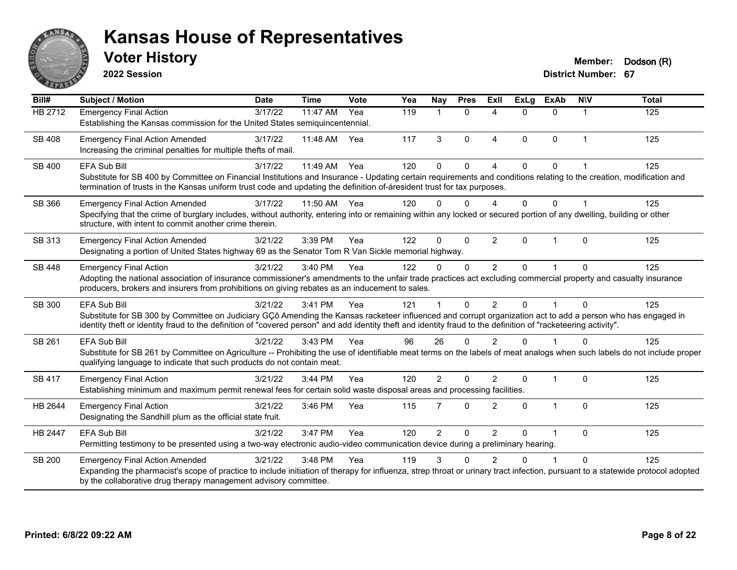

**2022 Session**

**Voter History Member: Dodson** (R)

| Bill#          | <b>Subject / Motion</b>                                                                                                                                                                                                                                                                                                                        | <b>Date</b> | <b>Time</b> | <b>Vote</b> | Yea | Nay            | <b>Pres</b> | <b>Exll</b>            | <b>ExLg</b> | <b>ExAb</b> | <b>NIV</b>     | <b>Total</b>   |
|----------------|------------------------------------------------------------------------------------------------------------------------------------------------------------------------------------------------------------------------------------------------------------------------------------------------------------------------------------------------|-------------|-------------|-------------|-----|----------------|-------------|------------------------|-------------|-------------|----------------|----------------|
| <b>HB 2712</b> | <b>Emergency Final Action</b><br>Establishing the Kansas commission for the United States semiquincentennial.                                                                                                                                                                                                                                  | 3/17/22     | 11:47 AM    | Yea         | 119 | $\mathbf{1}$   | $\Omega$    | Δ                      | $\Omega$    | $\Omega$    | -1             | $\frac{1}{25}$ |
| <b>SB 408</b>  | <b>Emergency Final Action Amended</b><br>Increasing the criminal penalties for multiple thefts of mail.                                                                                                                                                                                                                                        | 3/17/22     | 11:48 AM    | Yea         | 117 | 3              | $\mathbf 0$ | $\boldsymbol{\Lambda}$ | $\Omega$    | $\mathbf 0$ | $\overline{1}$ | 125            |
| SB 400         | <b>EFA Sub Bill</b><br>Substitute for SB 400 by Committee on Financial Institutions and Insurance - Updating certain requirements and conditions relating to the creation, modification and<br>termination of trusts in the Kansas uniform trust code and updating the definition of-áresident trust for tax purposes.                         | 3/17/22     | 11:49 AM    | Yea         | 120 | $\Omega$       | $\Omega$    | 4                      | $\Omega$    | $\Omega$    |                | 125            |
| SB 366         | <b>Emergency Final Action Amended</b><br>Specifying that the crime of burglary includes, without authority, entering into or remaining within any locked or secured portion of any dwelling, building or other<br>structure, with intent to commit another crime therein.                                                                      | 3/17/22     | 11:50 AM    | Yea         | 120 | $\Omega$       | $\Omega$    | 4                      | $\Omega$    | $\Omega$    |                | 125            |
| SB 313         | <b>Emergency Final Action Amended</b><br>Designating a portion of United States highway 69 as the Senator Tom R Van Sickle memorial highway.                                                                                                                                                                                                   | 3/21/22     | 3:39 PM     | Yea         | 122 | $\mathbf{0}$   | $\Omega$    | $\overline{2}$         | 0           | -1          | $\Omega$       | 125            |
| <b>SB 448</b>  | <b>Emergency Final Action</b><br>Adopting the national association of insurance commissioner's amendments to the unfair trade practices act excluding commercial property and casualty insurance<br>producers, brokers and insurers from prohibitions on giving rebates as an inducement to sales.                                             | 3/21/22     | 3:40 PM     | Yea         | 122 | $\mathbf{0}$   | $\Omega$    | 2                      | $\Omega$    |             | $\Omega$       | 125            |
| SB 300         | EFA Sub Bill<br>Substitute for SB 300 by Committee on Judiciary GCô Amending the Kansas racketeer influenced and corrupt organization act to add a person who has engaged in<br>identity theft or identity fraud to the definition of "covered person" and add identity theft and identity fraud to the definition of "racketeering activity". | 3/21/22     | 3:41 PM     | Yea         | 121 |                | $\Omega$    | $\mathfrak{p}$         | $\Omega$    |             | $\Omega$       | 125            |
| SB 261         | EFA Sub Bill<br>Substitute for SB 261 by Committee on Agriculture -- Prohibiting the use of identifiable meat terms on the labels of meat analogs when such labels do not include proper<br>qualifying language to indicate that such products do not contain meat.                                                                            | 3/21/22     | 3:43 PM     | Yea         | 96  | 26             | $\Omega$    | $\mathfrak{p}$         | $\Omega$    |             | $\Omega$       | 125            |
| <b>SB 417</b>  | <b>Emergency Final Action</b><br>Establishing minimum and maximum permit renewal fees for certain solid waste disposal areas and processing facilities.                                                                                                                                                                                        | 3/21/22     | 3:44 PM     | Yea         | 120 | $\overline{2}$ | $\Omega$    | 2                      | 0           | 1           | $\Omega$       | 125            |
| HB 2644        | <b>Emergency Final Action</b><br>Designating the Sandhill plum as the official state fruit.                                                                                                                                                                                                                                                    | 3/21/22     | 3:46 PM     | Yea         | 115 | 7              | $\Omega$    | $\mathfrak{p}$         | $\Omega$    | 1           | $\Omega$       | 125            |
| <b>HB 2447</b> | <b>EFA Sub Bill</b><br>Permitting testimony to be presented using a two-way electronic audio-video communication device during a preliminary hearing.                                                                                                                                                                                          | 3/21/22     | 3:47 PM     | Yea         | 120 | $\overline{2}$ | $\mathbf 0$ | $\mathfrak{p}$         | $\Omega$    |             | $\mathbf 0$    | 125            |
| <b>SB 200</b>  | <b>Emergency Final Action Amended</b><br>Expanding the pharmacist's scope of practice to include initiation of therapy for influenza, strep throat or urinary tract infection, pursuant to a statewide protocol adopted<br>by the collaborative drug therapy management advisory committee.                                                    | 3/21/22     | 3:48 PM     | Yea         | 119 | 3              | $\Omega$    | $\mathfrak{p}$         | U           |             | $\Omega$       | 125            |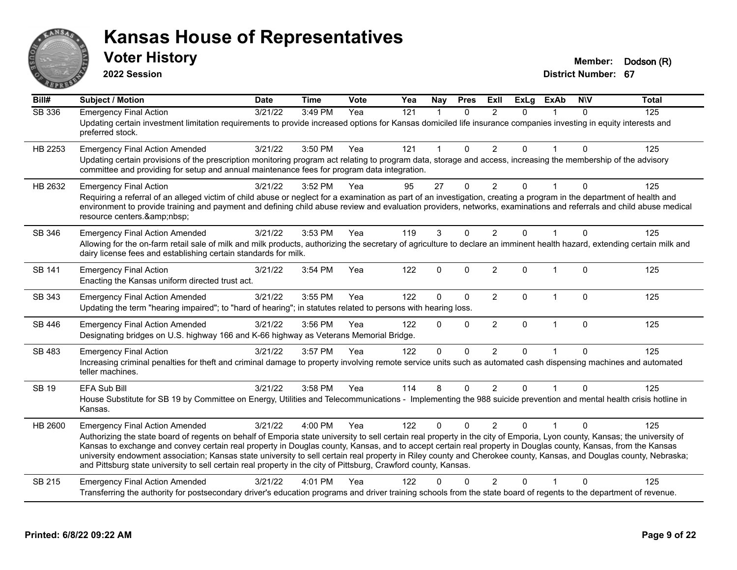

**2022 Session**

**Voter History Member: Dodson** (R)

| Bill#         | <b>Subject / Motion</b>                                                                                                                                                                                                                                                                                                                                                                                                                                                                                                                                                                                                                                                      | <b>Date</b> | <b>Time</b> | Vote | Yea | Nay          | <b>Pres</b>  | ExII           | <b>ExLg</b> | <b>ExAb</b>  | <b>NIV</b>   | <b>Total</b> |
|---------------|------------------------------------------------------------------------------------------------------------------------------------------------------------------------------------------------------------------------------------------------------------------------------------------------------------------------------------------------------------------------------------------------------------------------------------------------------------------------------------------------------------------------------------------------------------------------------------------------------------------------------------------------------------------------------|-------------|-------------|------|-----|--------------|--------------|----------------|-------------|--------------|--------------|--------------|
| <b>SB 336</b> | <b>Emergency Final Action</b><br>Updating certain investment limitation requirements to provide increased options for Kansas domiciled life insurance companies investing in equity interests and<br>preferred stock.                                                                                                                                                                                                                                                                                                                                                                                                                                                        | 3/21/22     | 3:49 PM     | Yea  | 121 | 1            | $\Omega$     | $\mathfrak{p}$ | $\Omega$    |              | $\Omega$     | 125          |
| HB 2253       | <b>Emergency Final Action Amended</b><br>Updating certain provisions of the prescription monitoring program act relating to program data, storage and access, increasing the membership of the advisory<br>committee and providing for setup and annual maintenance fees for program data integration.                                                                                                                                                                                                                                                                                                                                                                       | 3/21/22     | 3:50 PM     | Yea  | 121 | $\mathbf{1}$ | $\mathbf 0$  | $\overline{2}$ | 0           |              | $\Omega$     | 125          |
| HB 2632       | <b>Emergency Final Action</b><br>Requiring a referral of an alleged victim of child abuse or neglect for a examination as part of an investigation, creating a program in the department of health and<br>environment to provide training and payment and defining child abuse review and evaluation providers, networks, examinations and referrals and child abuse medical<br>resource centers.                                                                                                                                                                                                                                                                            | 3/21/22     | 3:52 PM     | Yea  | 95  | 27           | $\mathbf{0}$ | $\overline{2}$ | 0           |              | $\Omega$     | 125          |
| SB 346        | <b>Emergency Final Action Amended</b><br>Allowing for the on-farm retail sale of milk and milk products, authorizing the secretary of agriculture to declare an imminent health hazard, extending certain milk and<br>dairy license fees and establishing certain standards for milk.                                                                                                                                                                                                                                                                                                                                                                                        | 3/21/22     | 3:53 PM     | Yea  | 119 | 3            | $\mathbf{0}$ | $\overline{2}$ | 0           |              | $\Omega$     | 125          |
| SB 141        | <b>Emergency Final Action</b><br>Enacting the Kansas uniform directed trust act.                                                                                                                                                                                                                                                                                                                                                                                                                                                                                                                                                                                             | 3/21/22     | 3:54 PM     | Yea  | 122 | 0            | $\mathbf{0}$ | $\overline{2}$ | $\Omega$    | $\mathbf 1$  | $\mathbf{0}$ | 125          |
| SB 343        | <b>Emergency Final Action Amended</b><br>Updating the term "hearing impaired"; to "hard of hearing"; in statutes related to persons with hearing loss.                                                                                                                                                                                                                                                                                                                                                                                                                                                                                                                       | 3/21/22     | 3:55 PM     | Yea  | 122 | 0            | $\mathbf 0$  | $\overline{2}$ | 0           | $\mathbf 1$  | $\mathbf 0$  | 125          |
| SB 446        | <b>Emergency Final Action Amended</b><br>Designating bridges on U.S. highway 166 and K-66 highway as Veterans Memorial Bridge.                                                                                                                                                                                                                                                                                                                                                                                                                                                                                                                                               | 3/21/22     | 3:56 PM     | Yea  | 122 | $\Omega$     | $\mathbf 0$  | $\overline{2}$ | 0           | $\mathbf{1}$ | $\mathbf 0$  | 125          |
| SB 483        | <b>Emergency Final Action</b><br>Increasing criminal penalties for theft and criminal damage to property involving remote service units such as automated cash dispensing machines and automated<br>teller machines.                                                                                                                                                                                                                                                                                                                                                                                                                                                         | 3/21/22     | 3:57 PM     | Yea  | 122 | 0            | $\Omega$     | $\overline{2}$ | $\Omega$    |              | $\mathbf{0}$ | 125          |
| <b>SB 19</b>  | EFA Sub Bill<br>House Substitute for SB 19 by Committee on Energy, Utilities and Telecommunications - Implementing the 988 suicide prevention and mental health crisis hotline in<br>Kansas.                                                                                                                                                                                                                                                                                                                                                                                                                                                                                 | 3/21/22     | 3:58 PM     | Yea  | 114 | 8            | $\mathbf 0$  | $\overline{2}$ | 0           |              | $\Omega$     | 125          |
| HB 2600       | <b>Emergency Final Action Amended</b><br>Authorizing the state board of regents on behalf of Emporia state university to sell certain real property in the city of Emporia, Lyon county, Kansas; the university of<br>Kansas to exchange and convey certain real property in Douglas county, Kansas, and to accept certain real property in Douglas county, Kansas, from the Kansas<br>university endowment association; Kansas state university to sell certain real property in Riley county and Cherokee county, Kansas, and Douglas county, Nebraska;<br>and Pittsburg state university to sell certain real property in the city of Pittsburg, Crawford county, Kansas. | 3/21/22     | 4:00 PM     | Yea  | 122 | $\Omega$     | $\Omega$     | 2              | $\Omega$    |              | $\Omega$     | 125          |
| SB 215        | <b>Emergency Final Action Amended</b><br>Transferring the authority for postsecondary driver's education programs and driver training schools from the state board of regents to the department of revenue.                                                                                                                                                                                                                                                                                                                                                                                                                                                                  | 3/21/22     | 4:01 PM     | Yea  | 122 |              |              | $\overline{2}$ | 0           |              | $\Omega$     | 125          |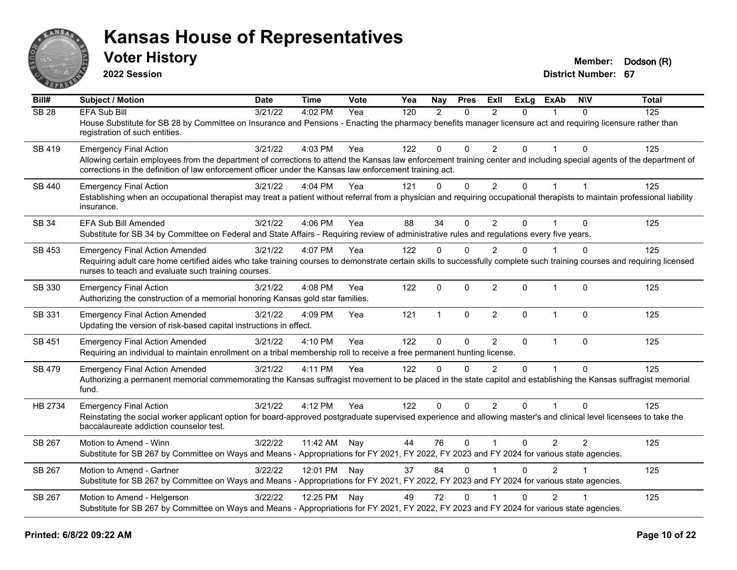

**2022 Session**

**Voter History Member: Dodson** (R)

| Bill#         | Subject / Motion                                                                                                                                                                                                                                                                | <b>Date</b> | <b>Time</b>  | Vote | Yea | Nay          | <b>Pres</b>  | ExII           | <b>ExLg</b> | <b>ExAb</b>    | <b>NIV</b> | <b>Total</b> |
|---------------|---------------------------------------------------------------------------------------------------------------------------------------------------------------------------------------------------------------------------------------------------------------------------------|-------------|--------------|------|-----|--------------|--------------|----------------|-------------|----------------|------------|--------------|
| <b>SB 28</b>  | <b>EFA Sub Bill</b>                                                                                                                                                                                                                                                             | 3/21/22     | 4:02 PM      | Yea  | 120 | 2            | $\mathbf{0}$ | $\overline{2}$ | 0           |                | $\Omega$   | 125          |
|               | House Substitute for SB 28 by Committee on Insurance and Pensions - Enacting the pharmacy benefits manager licensure act and requiring licensure rather than<br>registration of such entities.                                                                                  |             |              |      |     |              |              |                |             |                |            |              |
| <b>SB 419</b> | <b>Emergency Final Action</b>                                                                                                                                                                                                                                                   | 3/21/22     | 4:03 PM      | Yea  | 122 | $\mathbf 0$  | $\Omega$     | 2              | 0           |                | $\Omega$   | 125          |
|               | Allowing certain employees from the department of corrections to attend the Kansas law enforcement training center and including special agents of the department of<br>corrections in the definition of law enforcement officer under the Kansas law enforcement training act. |             |              |      |     |              |              |                |             |                |            |              |
| SB 440        | <b>Emergency Final Action</b>                                                                                                                                                                                                                                                   | 3/21/22     | 4:04 PM      | Yea  | 121 | $\mathbf 0$  | $\mathbf 0$  | $\overline{2}$ | 0           | $\overline{1}$ |            | 125          |
|               | Establishing when an occupational therapist may treat a patient without referral from a physician and requiring occupational therapists to maintain professional liability<br>insurance.                                                                                        |             |              |      |     |              |              |                |             |                |            |              |
| SB 34         | EFA Sub Bill Amended                                                                                                                                                                                                                                                            | 3/21/22     | 4:06 PM      | Yea  | 88  | 34           | $\mathbf{0}$ | 2              | $\Omega$    |                | $\Omega$   | 125          |
|               | Substitute for SB 34 by Committee on Federal and State Affairs - Requiring review of administrative rules and regulations every five years.                                                                                                                                     |             |              |      |     |              |              |                |             |                |            |              |
| SB 453        | <b>Emergency Final Action Amended</b>                                                                                                                                                                                                                                           | 3/21/22     | 4:07 PM      | Yea  | 122 | $\mathbf{0}$ | $\Omega$     | 2              | 0           |                | $\Omega$   | 125          |
|               | Requiring adult care home certified aides who take training courses to demonstrate certain skills to successfully complete such training courses and requiring licensed<br>nurses to teach and evaluate such training courses.                                                  |             |              |      |     |              |              |                |             |                |            |              |
| SB 330        | <b>Emergency Final Action</b><br>Authorizing the construction of a memorial honoring Kansas gold star families.                                                                                                                                                                 | 3/21/22     | 4:08 PM      | Yea  | 122 | 0            | $\mathbf 0$  | $\overline{2}$ | 0           | 1              | $\Omega$   | 125          |
| SB 331        | <b>Emergency Final Action Amended</b><br>Updating the version of risk-based capital instructions in effect.                                                                                                                                                                     | 3/21/22     | 4:09 PM      | Yea  | 121 | $\mathbf{1}$ | $\mathbf{0}$ | $\overline{2}$ | $\Omega$    | $\overline{1}$ | $\Omega$   | 125          |
| SB 451        | <b>Emergency Final Action Amended</b>                                                                                                                                                                                                                                           | 3/21/22     | 4:10 PM      | Yea  | 122 | $\mathbf{0}$ | $\mathbf{0}$ | 2              | $\Omega$    | $\mathbf{1}$   | $\Omega$   | 125          |
|               | Requiring an individual to maintain enrollment on a tribal membership roll to receive a free permanent hunting license.                                                                                                                                                         |             |              |      |     |              |              |                |             |                |            |              |
| <b>SB 479</b> | <b>Emergency Final Action Amended</b>                                                                                                                                                                                                                                           | 3/21/22     | 4:11 PM      | Yea  | 122 | $\Omega$     | $\Omega$     | $\mathfrak{p}$ | $\Omega$    | $\overline{1}$ | $\Omega$   | 125          |
|               | Authorizing a permanent memorial commemorating the Kansas suffragist movement to be placed in the state capitol and establishing the Kansas suffragist memorial<br>fund.                                                                                                        |             |              |      |     |              |              |                |             |                |            |              |
| HB 2734       | <b>Emergency Final Action</b>                                                                                                                                                                                                                                                   | 3/21/22     | 4:12 PM      | Yea  | 122 | $\mathbf{0}$ | $\Omega$     | 2              | $\Omega$    |                | $\Omega$   | 125          |
|               | Reinstating the social worker applicant option for board-approved postgraduate supervised experience and allowing master's and clinical level licensees to take the<br>baccalaureate addiction counselor test.                                                                  |             |              |      |     |              |              |                |             |                |            |              |
| SB 267        | Motion to Amend - Winn                                                                                                                                                                                                                                                          | 3/22/22     | 11:42 AM     | Nay  | 44  | 76           | $\mathbf{0}$ | $\overline{1}$ | 0           | $\overline{2}$ | 2          | 125          |
|               | Substitute for SB 267 by Committee on Ways and Means - Appropriations for FY 2021, FY 2022, FY 2023 and FY 2024 for various state agencies.                                                                                                                                     |             |              |      |     |              |              |                |             |                |            |              |
| SB 267        | Motion to Amend - Gartner                                                                                                                                                                                                                                                       | 3/22/22     | 12:01 PM Nay |      | 37  | 84           | $\mathbf{0}$ |                | 0           | $\overline{2}$ |            | 125          |
|               | Substitute for SB 267 by Committee on Ways and Means - Appropriations for FY 2021, FY 2022, FY 2023 and FY 2024 for various state agencies.                                                                                                                                     |             |              |      |     |              |              |                |             |                |            |              |
| SB 267        | Motion to Amend - Helgerson                                                                                                                                                                                                                                                     | 3/22/22     | 12:25 PM Nay |      | 49  | 72           | $\mathbf{0}$ |                | $\Omega$    | $\overline{2}$ |            | 125          |
|               | Substitute for SB 267 by Committee on Ways and Means - Appropriations for FY 2021, FY 2022, FY 2023 and FY 2024 for various state agencies.                                                                                                                                     |             |              |      |     |              |              |                |             |                |            |              |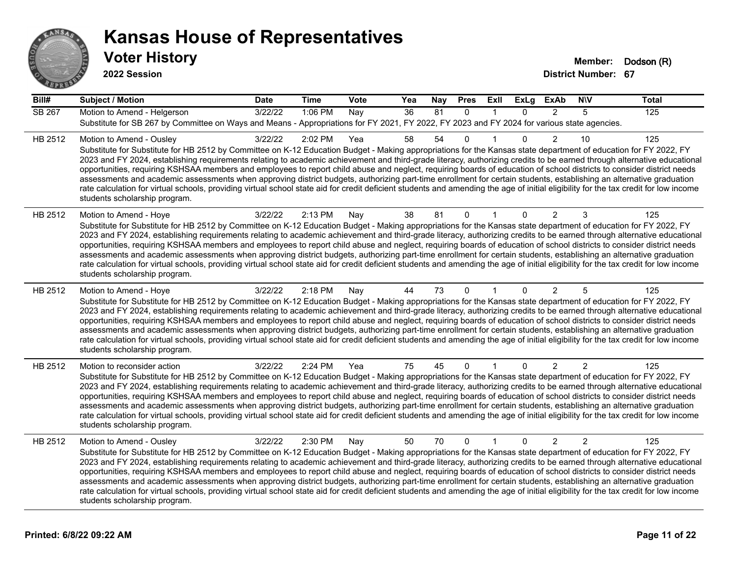

| Bill#         | <b>Subject / Motion</b>                                                                                                                                                                                                                                                                                                                                                                                                                                                                                                                                                                                                                                                                                                                                                                                                                                                                                                                             | <b>Date</b> | Time    | Vote | Yea             | <b>Nay</b> | <b>Pres</b>  | ExII         | ExLg     | <b>ExAb</b>    | <b>NIV</b>     | <b>Total</b> |
|---------------|-----------------------------------------------------------------------------------------------------------------------------------------------------------------------------------------------------------------------------------------------------------------------------------------------------------------------------------------------------------------------------------------------------------------------------------------------------------------------------------------------------------------------------------------------------------------------------------------------------------------------------------------------------------------------------------------------------------------------------------------------------------------------------------------------------------------------------------------------------------------------------------------------------------------------------------------------------|-------------|---------|------|-----------------|------------|--------------|--------------|----------|----------------|----------------|--------------|
| <b>SB 267</b> | Motion to Amend - Helgerson<br>Substitute for SB 267 by Committee on Ways and Means - Appropriations for FY 2021, FY 2022, FY 2023 and FY 2024 for various state agencies.                                                                                                                                                                                                                                                                                                                                                                                                                                                                                                                                                                                                                                                                                                                                                                          | 3/22/22     | 1:06 PM | Nay  | $\overline{36}$ | 81         | $\Omega$     | $\mathbf{1}$ | $\Omega$ | 2              | 5              | 125          |
| HB 2512       | Motion to Amend - Ousley<br>Substitute for Substitute for HB 2512 by Committee on K-12 Education Budget - Making appropriations for the Kansas state department of education for FY 2022, FY<br>2023 and FY 2024, establishing requirements relating to academic achievement and third-grade literacy, authorizing credits to be earned through alternative educational<br>opportunities, requiring KSHSAA members and employees to report child abuse and neglect, requiring boards of education of school districts to consider district needs<br>assessments and academic assessments when approving district budgets, authorizing part-time enrollment for certain students, establishing an alternative graduation<br>rate calculation for virtual schools, providing virtual school state aid for credit deficient students and amending the age of initial eligibility for the tax credit for low income<br>students scholarship program.    | 3/22/22     | 2:02 PM | Yea  | 58              | 54         | 0            |              | $\Omega$ | $\overline{2}$ | 10             | 125          |
| HB 2512       | Motion to Amend - Hoye<br>Substitute for Substitute for HB 2512 by Committee on K-12 Education Budget - Making appropriations for the Kansas state department of education for FY 2022, FY<br>2023 and FY 2024, establishing requirements relating to academic achievement and third-grade literacy, authorizing credits to be earned through alternative educational<br>opportunities, requiring KSHSAA members and employees to report child abuse and neglect, requiring boards of education of school districts to consider district needs<br>assessments and academic assessments when approving district budgets, authorizing part-time enrollment for certain students, establishing an alternative graduation<br>rate calculation for virtual schools, providing virtual school state aid for credit deficient students and amending the age of initial eligibility for the tax credit for low income<br>students scholarship program.      | 3/22/22     | 2:13 PM | Nay  | 38              | 81         | $\mathbf 0$  |              | $\Omega$ | 2              | 3              | 125          |
| HB 2512       | Motion to Amend - Hoye<br>Substitute for Substitute for HB 2512 by Committee on K-12 Education Budget - Making appropriations for the Kansas state department of education for FY 2022, FY<br>2023 and FY 2024, establishing requirements relating to academic achievement and third-grade literacy, authorizing credits to be earned through alternative educational<br>opportunities, requiring KSHSAA members and employees to report child abuse and neglect, requiring boards of education of school districts to consider district needs<br>assessments and academic assessments when approving district budgets, authorizing part-time enrollment for certain students, establishing an alternative graduation<br>rate calculation for virtual schools, providing virtual school state aid for credit deficient students and amending the age of initial eligibility for the tax credit for low income<br>students scholarship program.      | 3/22/22     | 2:18 PM | Nay  | 44              | 73         | $\mathbf{0}$ |              | $\Omega$ | 2              | 5              | 125          |
| HB 2512       | Motion to reconsider action<br>Substitute for Substitute for HB 2512 by Committee on K-12 Education Budget - Making appropriations for the Kansas state department of education for FY 2022, FY<br>2023 and FY 2024, establishing requirements relating to academic achievement and third-grade literacy, authorizing credits to be earned through alternative educational<br>opportunities, requiring KSHSAA members and employees to report child abuse and neglect, requiring boards of education of school districts to consider district needs<br>assessments and academic assessments when approving district budgets, authorizing part-time enrollment for certain students, establishing an alternative graduation<br>rate calculation for virtual schools, providing virtual school state aid for credit deficient students and amending the age of initial eligibility for the tax credit for low income<br>students scholarship program. | 3/22/22     | 2:24 PM | Yea  | 75              | 45         | $\Omega$     |              | $\Omega$ | 2              | 2              | 125          |
| HB 2512       | Motion to Amend - Ousley<br>Substitute for Substitute for HB 2512 by Committee on K-12 Education Budget - Making appropriations for the Kansas state department of education for FY 2022, FY<br>2023 and FY 2024, establishing requirements relating to academic achievement and third-grade literacy, authorizing credits to be earned through alternative educational<br>opportunities, requiring KSHSAA members and employees to report child abuse and neglect, requiring boards of education of school districts to consider district needs<br>assessments and academic assessments when approving district budgets, authorizing part-time enrollment for certain students, establishing an alternative graduation<br>rate calculation for virtual schools, providing virtual school state aid for credit deficient students and amending the age of initial eligibility for the tax credit for low income<br>students scholarship program.    | 3/22/22     | 2:30 PM | Nay  | 50              | 70         | $\Omega$     | $\mathbf{1}$ | $\Omega$ | $\overline{2}$ | $\overline{2}$ | 125          |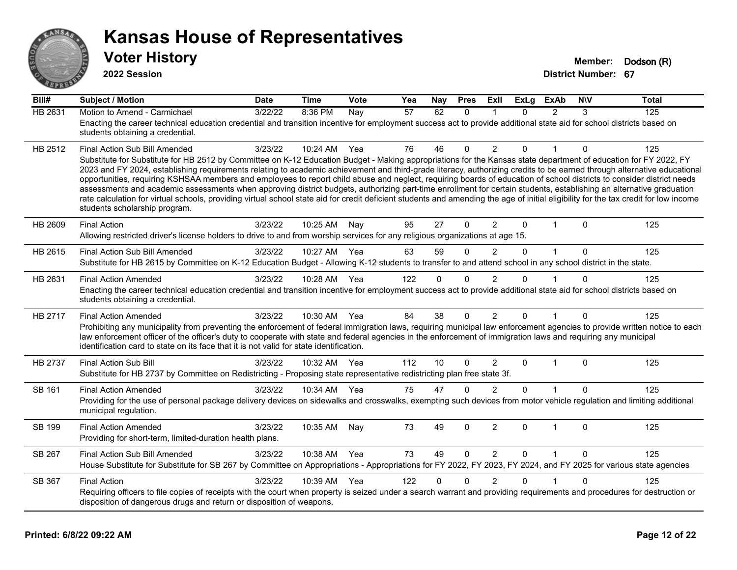

**2022 Session**

| Bill#          | <b>Subject / Motion</b>                                                                                                                                                                                                                                                                                                                                                                                                                                                                                                                                                                                                                                                                                                                                                                                                                                                                                                                               | <b>Date</b> | <b>Time</b> | Vote | Yea | Nay      | <b>Pres</b>  | ExIl           | <b>ExLg</b> | <b>ExAb</b>    | <b>NIV</b>   | <b>Total</b> |
|----------------|-------------------------------------------------------------------------------------------------------------------------------------------------------------------------------------------------------------------------------------------------------------------------------------------------------------------------------------------------------------------------------------------------------------------------------------------------------------------------------------------------------------------------------------------------------------------------------------------------------------------------------------------------------------------------------------------------------------------------------------------------------------------------------------------------------------------------------------------------------------------------------------------------------------------------------------------------------|-------------|-------------|------|-----|----------|--------------|----------------|-------------|----------------|--------------|--------------|
| <b>HB 2631</b> | Motion to Amend - Carmichael<br>Enacting the career technical education credential and transition incentive for employment success act to provide additional state aid for school districts based on<br>students obtaining a credential.                                                                                                                                                                                                                                                                                                                                                                                                                                                                                                                                                                                                                                                                                                              | 3/22/22     | 8:36 PM     | Nay  | 57  | 62       | $\Omega$     |                | $\Omega$    | $\overline{2}$ | 3            | 125          |
| HB 2512        | Final Action Sub Bill Amended<br>Substitute for Substitute for HB 2512 by Committee on K-12 Education Budget - Making appropriations for the Kansas state department of education for FY 2022, FY<br>2023 and FY 2024, establishing requirements relating to academic achievement and third-grade literacy, authorizing credits to be earned through alternative educational<br>opportunities, requiring KSHSAA members and employees to report child abuse and neglect, requiring boards of education of school districts to consider district needs<br>assessments and academic assessments when approving district budgets, authorizing part-time enrollment for certain students, establishing an alternative graduation<br>rate calculation for virtual schools, providing virtual school state aid for credit deficient students and amending the age of initial eligibility for the tax credit for low income<br>students scholarship program. | 3/23/22     | 10:24 AM    | Yea  | 76  | 46       | 0            | 2              | 0           |                | 0            | 125          |
| HB 2609        | <b>Final Action</b><br>Allowing restricted driver's license holders to drive to and from worship services for any religious organizations at age 15.                                                                                                                                                                                                                                                                                                                                                                                                                                                                                                                                                                                                                                                                                                                                                                                                  | 3/23/22     | 10:25 AM    | Nay  | 95  | 27       | $\mathbf{0}$ | $\overline{2}$ | $\Omega$    | 1              | $\mathbf{0}$ | 125          |
| HB 2615        | Final Action Sub Bill Amended<br>Substitute for HB 2615 by Committee on K-12 Education Budget - Allowing K-12 students to transfer to and attend school in any school district in the state.                                                                                                                                                                                                                                                                                                                                                                                                                                                                                                                                                                                                                                                                                                                                                          | 3/23/22     | 10:27 AM    | Yea  | 63  | 59       | $\Omega$     | $\overline{2}$ | 0           | 1              | $\mathbf 0$  | 125          |
| HB 2631        | <b>Final Action Amended</b><br>Enacting the career technical education credential and transition incentive for employment success act to provide additional state aid for school districts based on<br>students obtaining a credential.                                                                                                                                                                                                                                                                                                                                                                                                                                                                                                                                                                                                                                                                                                               | 3/23/22     | 10:28 AM    | Yea  | 122 | $\Omega$ | $\Omega$     | $\mathfrak{p}$ | U           |                | $\Omega$     | 125          |
| HB 2717        | <b>Final Action Amended</b><br>Prohibiting any municipality from preventing the enforcement of federal immigration laws, requiring municipal law enforcement agencies to provide written notice to each<br>law enforcement officer of the officer's duty to cooperate with state and federal agencies in the enforcement of immigration laws and requiring any municipal<br>identification card to state on its face that it is not valid for state identification.                                                                                                                                                                                                                                                                                                                                                                                                                                                                                   | 3/23/22     | 10:30 AM    | Yea  | 84  | 38       | $\Omega$     | 2              | 0           | 1              | $\Omega$     | 125          |
| <b>HB 2737</b> | <b>Final Action Sub Bill</b><br>Substitute for HB 2737 by Committee on Redistricting - Proposing state representative redistricting plan free state 3f.                                                                                                                                                                                                                                                                                                                                                                                                                                                                                                                                                                                                                                                                                                                                                                                               | 3/23/22     | 10:32 AM    | Yea  | 112 | 10       | $\Omega$     | 2              | $\Omega$    | $\mathbf{1}$   | $\Omega$     | 125          |
| SB 161         | <b>Final Action Amended</b><br>Providing for the use of personal package delivery devices on sidewalks and crosswalks, exempting such devices from motor vehicle regulation and limiting additional<br>municipal regulation.                                                                                                                                                                                                                                                                                                                                                                                                                                                                                                                                                                                                                                                                                                                          | 3/23/22     | 10:34 AM    | Yea  | 75  | 47       | $\Omega$     | $\mathfrak{p}$ | 0           |                | $\Omega$     | 125          |
| <b>SB 199</b>  | <b>Final Action Amended</b><br>Providing for short-term, limited-duration health plans.                                                                                                                                                                                                                                                                                                                                                                                                                                                                                                                                                                                                                                                                                                                                                                                                                                                               | 3/23/22     | 10:35 AM    | Nay  | 73  | 49       | $\Omega$     | $\overline{2}$ | $\Omega$    | $\mathbf 1$    | $\mathbf{0}$ | 125          |
| SB 267         | Final Action Sub Bill Amended<br>House Substitute for Substitute for SB 267 by Committee on Appropriations - Appropriations for FY 2022, FY 2023, FY 2024, and FY 2025 for various state agencies                                                                                                                                                                                                                                                                                                                                                                                                                                                                                                                                                                                                                                                                                                                                                     | 3/23/22     | 10:38 AM    | Yea  | 73  | 49       | $\Omega$     | 2              | $\Omega$    | $\mathbf{1}$   | $\Omega$     | 125          |
| SB 367         | <b>Final Action</b><br>Requiring officers to file copies of receipts with the court when property is seized under a search warrant and providing requirements and procedures for destruction or<br>disposition of dangerous drugs and return or disposition of weapons.                                                                                                                                                                                                                                                                                                                                                                                                                                                                                                                                                                                                                                                                               | 3/23/22     | 10:39 AM    | Yea  | 122 | $\Omega$ | $\Omega$     | $\overline{2}$ | 0           |                | $\Omega$     | 125          |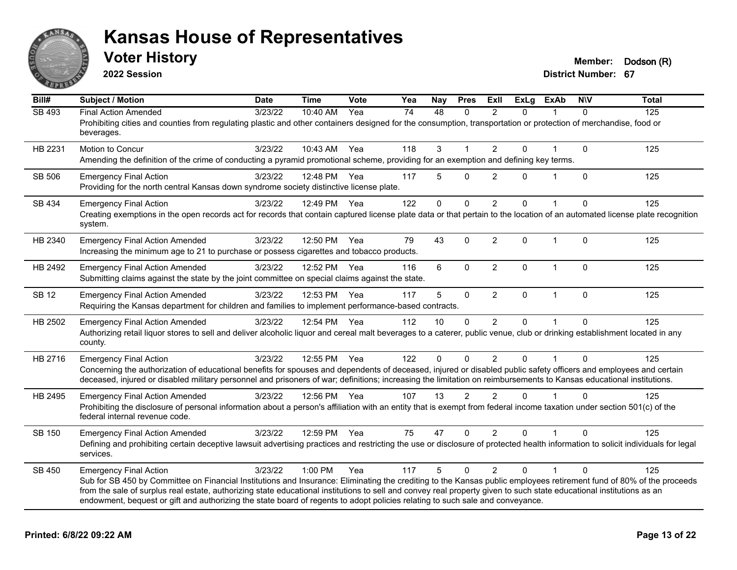

**2022 Session**

**Voter History Member: Dodson** (R)

| Bill#         | <b>Subject / Motion</b>                                                                                                                                                                                                                                                                               | <b>Date</b> | <b>Time</b>  | Vote | Yea | Nay         | <b>Pres</b>  | ExII           | <b>ExLg</b> | <b>ExAb</b>  | <b>NIV</b>   | <b>Total</b> |
|---------------|-------------------------------------------------------------------------------------------------------------------------------------------------------------------------------------------------------------------------------------------------------------------------------------------------------|-------------|--------------|------|-----|-------------|--------------|----------------|-------------|--------------|--------------|--------------|
| <b>SB 493</b> | <b>Final Action Amended</b>                                                                                                                                                                                                                                                                           | 3/23/22     | 10:40 AM     | Yea  | 74  | 48          | $\mathbf{0}$ | $\mathcal{P}$  | $\Omega$    |              | $\Omega$     | 125          |
|               | Prohibiting cities and counties from regulating plastic and other containers designed for the consumption, transportation or protection of merchandise, food or<br>beverages.                                                                                                                         |             |              |      |     |             |              |                |             |              |              |              |
| HB 2231       | Motion to Concur                                                                                                                                                                                                                                                                                      | 3/23/22     | 10:43 AM     | Yea  | 118 | 3           |              | 2              | $\Omega$    |              | $\mathbf 0$  | 125          |
|               | Amending the definition of the crime of conducting a pyramid promotional scheme, providing for an exemption and defining key terms.                                                                                                                                                                   |             |              |      |     |             |              |                |             |              |              |              |
| SB 506        | <b>Emergency Final Action</b>                                                                                                                                                                                                                                                                         | 3/23/22     | 12:48 PM     | Yea  | 117 | 5           | $\Omega$     | 2              | $\Omega$    | $\mathbf{1}$ | $\Omega$     | 125          |
|               | Providing for the north central Kansas down syndrome society distinctive license plate.                                                                                                                                                                                                               |             |              |      |     |             |              |                |             |              |              |              |
| SB 434        | <b>Emergency Final Action</b>                                                                                                                                                                                                                                                                         | 3/23/22     | 12:49 PM     | Yea  | 122 | $\Omega$    | $\mathbf 0$  | $\overline{2}$ | $\Omega$    | $\mathbf{1}$ | $\Omega$     | 125          |
|               | Creating exemptions in the open records act for records that contain captured license plate data or that pertain to the location of an automated license plate recognition<br>system.                                                                                                                 |             |              |      |     |             |              |                |             |              |              |              |
| HB 2340       | <b>Emergency Final Action Amended</b>                                                                                                                                                                                                                                                                 | 3/23/22     | 12:50 PM     | Yea  | 79  | 43          | $\mathbf 0$  | $\overline{2}$ | 0           | $\mathbf 1$  | $\mathbf{0}$ | 125          |
|               | Increasing the minimum age to 21 to purchase or possess cigarettes and tobacco products.                                                                                                                                                                                                              |             |              |      |     |             |              |                |             |              |              |              |
| HB 2492       | <b>Emergency Final Action Amended</b>                                                                                                                                                                                                                                                                 | 3/23/22     | 12:52 PM     | Yea  | 116 | 6           | $\mathbf 0$  | $\overline{2}$ | 0           | $\mathbf{1}$ | $\mathbf 0$  | 125          |
|               | Submitting claims against the state by the joint committee on special claims against the state.                                                                                                                                                                                                       |             |              |      |     |             |              |                |             |              |              |              |
| <b>SB 12</b>  | <b>Emergency Final Action Amended</b>                                                                                                                                                                                                                                                                 | 3/23/22     | 12:53 PM     | Yea  | 117 | 5           | $\mathbf 0$  | $\overline{2}$ | $\Omega$    | $\mathbf{1}$ | $\mathbf{0}$ | 125          |
|               | Requiring the Kansas department for children and families to implement performance-based contracts.                                                                                                                                                                                                   |             |              |      |     |             |              |                |             |              |              |              |
| HB 2502       | <b>Emergency Final Action Amended</b>                                                                                                                                                                                                                                                                 | 3/23/22     | 12:54 PM Yea |      | 112 | 10          | $\Omega$     | $\overline{2}$ | $\Omega$    |              | $\Omega$     | 125          |
|               | Authorizing retail liquor stores to sell and deliver alcoholic liquor and cereal malt beverages to a caterer, public venue, club or drinking establishment located in any<br>county.                                                                                                                  |             |              |      |     |             |              |                |             |              |              |              |
| HB 2716       | <b>Emergency Final Action</b>                                                                                                                                                                                                                                                                         | 3/23/22     | 12:55 PM     | Yea  | 122 | $\mathbf 0$ | $\Omega$     | $\overline{2}$ | $\Omega$    | 1            | $\Omega$     | 125          |
|               | Concerning the authorization of educational benefits for spouses and dependents of deceased, injured or disabled public safety officers and employees and certain                                                                                                                                     |             |              |      |     |             |              |                |             |              |              |              |
|               | deceased, injured or disabled military personnel and prisoners of war; definitions; increasing the limitation on reimbursements to Kansas educational institutions.                                                                                                                                   |             |              |      |     |             |              |                |             |              |              |              |
| HB 2495       | <b>Emergency Final Action Amended</b>                                                                                                                                                                                                                                                                 | 3/23/22     | 12:56 PM Yea |      | 107 | 13          | 2            | 2              | $\Omega$    | 1            | $\Omega$     | 125          |
|               | Prohibiting the disclosure of personal information about a person's affiliation with an entity that is exempt from federal income taxation under section 501(c) of the<br>federal internal revenue code.                                                                                              |             |              |      |     |             |              |                |             |              |              |              |
| SB 150        | <b>Emergency Final Action Amended</b>                                                                                                                                                                                                                                                                 | 3/23/22     | 12:59 PM     | Yea  | 75  | 47          | $\Omega$     | $\overline{2}$ | $\Omega$    |              | $\Omega$     | 125          |
|               | Defining and prohibiting certain deceptive lawsuit advertising practices and restricting the use or disclosure of protected health information to solicit individuals for legal<br>services.                                                                                                          |             |              |      |     |             |              |                |             |              |              |              |
| SB 450        | <b>Emergency Final Action</b>                                                                                                                                                                                                                                                                         | 3/23/22     | 1:00 PM      | Yea  | 117 | 5           | $\mathbf 0$  | $\overline{2}$ | $\Omega$    | 1            | $\Omega$     | 125          |
|               | Sub for SB 450 by Committee on Financial Institutions and Insurance: Eliminating the crediting to the Kansas public employees retirement fund of 80% of the proceeds                                                                                                                                  |             |              |      |     |             |              |                |             |              |              |              |
|               | from the sale of surplus real estate, authorizing state educational institutions to sell and convey real property given to such state educational institutions as an<br>endowment, bequest or gift and authorizing the state board of regents to adopt policies relating to such sale and conveyance. |             |              |      |     |             |              |                |             |              |              |              |
|               |                                                                                                                                                                                                                                                                                                       |             |              |      |     |             |              |                |             |              |              |              |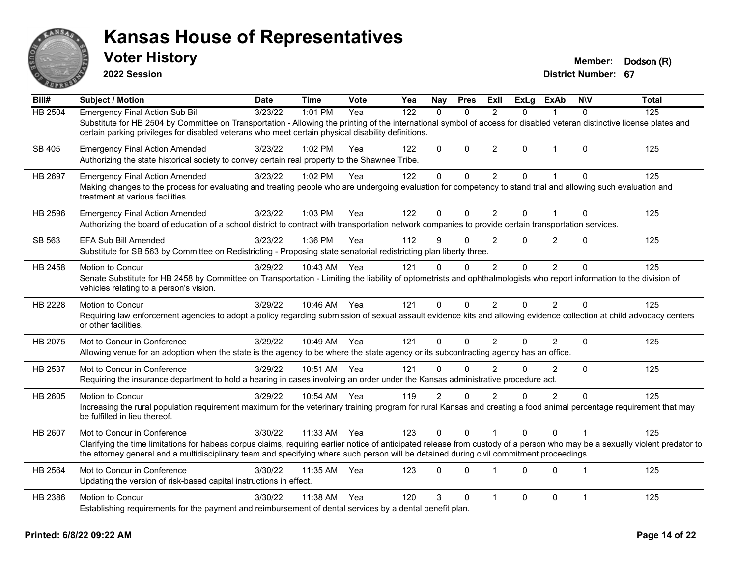

**2022 Session**

**Voter History Member: Dodson** (R)

| $\overline{Bill#}$ | Subject / Motion                                                                                                                                                                                                                                                                                                                                        | <b>Date</b> | <b>Time</b> | Vote | Yea | <b>Nay</b>     | <b>Pres</b>  | ExII           | <b>ExLg</b> | <b>ExAb</b>    | <b>NIV</b>     | <b>Total</b> |
|--------------------|---------------------------------------------------------------------------------------------------------------------------------------------------------------------------------------------------------------------------------------------------------------------------------------------------------------------------------------------------------|-------------|-------------|------|-----|----------------|--------------|----------------|-------------|----------------|----------------|--------------|
| HB 2504            | <b>Emergency Final Action Sub Bill</b>                                                                                                                                                                                                                                                                                                                  | 3/23/22     | 1:01 PM     | Yea  | 122 | $\Omega$       | $\Omega$     | 2              | 0           |                | $\Omega$       | 125          |
|                    | Substitute for HB 2504 by Committee on Transportation - Allowing the printing of the international symbol of access for disabled veteran distinctive license plates and<br>certain parking privileges for disabled veterans who meet certain physical disability definitions.                                                                           |             |             |      |     |                |              |                |             |                |                |              |
| SB 405             | <b>Emergency Final Action Amended</b><br>Authorizing the state historical society to convey certain real property to the Shawnee Tribe.                                                                                                                                                                                                                 | 3/23/22     | 1:02 PM     | Yea  | 122 | $\Omega$       | $\Omega$     | $\overline{2}$ | 0           | $\mathbf 1$    | $\Omega$       | 125          |
| HB 2697            | <b>Emergency Final Action Amended</b><br>Making changes to the process for evaluating and treating people who are undergoing evaluation for competency to stand trial and allowing such evaluation and<br>treatment at various facilities.                                                                                                              | 3/23/22     | 1:02 PM     | Yea  | 122 | 0              | 0            | $\overline{2}$ | 0           |                | $\Omega$       | 125          |
| HB 2596            | <b>Emergency Final Action Amended</b><br>Authorizing the board of education of a school district to contract with transportation network companies to provide certain transportation services.                                                                                                                                                          | 3/23/22     | 1:03 PM     | Yea  | 122 | 0              | $\mathbf 0$  | $\overline{2}$ | 0           | $\mathbf 1$    | $\mathbf 0$    | 125          |
| SB 563             | <b>EFA Sub Bill Amended</b><br>Substitute for SB 563 by Committee on Redistricting - Proposing state senatorial redistricting plan liberty three.                                                                                                                                                                                                       | 3/23/22     | 1:36 PM     | Yea  | 112 | 9              | $\Omega$     | $\overline{2}$ | 0           | $\overline{2}$ | $\mathbf{0}$   | 125          |
| HB 2458            | Motion to Concur<br>Senate Substitute for HB 2458 by Committee on Transportation - Limiting the liability of optometrists and ophthalmologists who report information to the division of<br>vehicles relating to a person's vision.                                                                                                                     | 3/29/22     | 10:43 AM    | Yea  | 121 | 0              | $\mathbf{0}$ | 2              | $\Omega$    | $\overline{2}$ | $\mathbf{0}$   | 125          |
| HB 2228            | Motion to Concur<br>Requiring law enforcement agencies to adopt a policy regarding submission of sexual assault evidence kits and allowing evidence collection at child advocacy centers<br>or other facilities.                                                                                                                                        | 3/29/22     | 10:46 AM    | Yea  | 121 | 0              | $\Omega$     | $\overline{2}$ | 0           | 2              | $\Omega$       | 125          |
| HB 2075            | Mot to Concur in Conference<br>Allowing venue for an adoption when the state is the agency to be where the state agency or its subcontracting agency has an office.                                                                                                                                                                                     | 3/29/22     | 10:49 AM    | Yea  | 121 | 0              | $\Omega$     | 2              | 0           | $\overline{2}$ | $\mathbf{0}$   | 125          |
| HB 2537            | Mot to Concur in Conference<br>Requiring the insurance department to hold a hearing in cases involving an order under the Kansas administrative procedure act.                                                                                                                                                                                          | 3/29/22     | 10:51 AM    | Yea  | 121 | 0              | $\mathbf{0}$ | 2              | 0           | 2              | $\Omega$       | 125          |
| HB 2605            | Motion to Concur<br>Increasing the rural population requirement maximum for the veterinary training program for rural Kansas and creating a food animal percentage requirement that may<br>be fulfilled in lieu thereof.                                                                                                                                | 3/29/22     | 10:54 AM    | Yea  | 119 | $\overline{2}$ | $\Omega$     | $\mathfrak{p}$ | 0           | $\overline{2}$ | $\Omega$       | 125          |
| HB 2607            | Mot to Concur in Conference<br>Clarifying the time limitations for habeas corpus claims, requiring earlier notice of anticipated release from custody of a person who may be a sexually violent predator to<br>the attorney general and a multidisciplinary team and specifying where such person will be detained during civil commitment proceedings. | 3/30/22     | 11:33 AM    | Yea  | 123 | 0              | $\Omega$     |                | 0           | $\Omega$       |                | 125          |
| HB 2564            | Mot to Concur in Conference<br>Updating the version of risk-based capital instructions in effect.                                                                                                                                                                                                                                                       | 3/30/22     | 11:35 AM    | Yea  | 123 | 0              | $\Omega$     | $\overline{1}$ | 0           | $\Omega$       | $\overline{1}$ | 125          |
| HB 2386            | Motion to Concur<br>Establishing requirements for the payment and reimbursement of dental services by a dental benefit plan.                                                                                                                                                                                                                            | 3/30/22     | 11:38 AM    | Yea  | 120 | 3              | $\mathbf{0}$ | 1              | 0           | $\mathbf 0$    | $\mathbf{1}$   | 125          |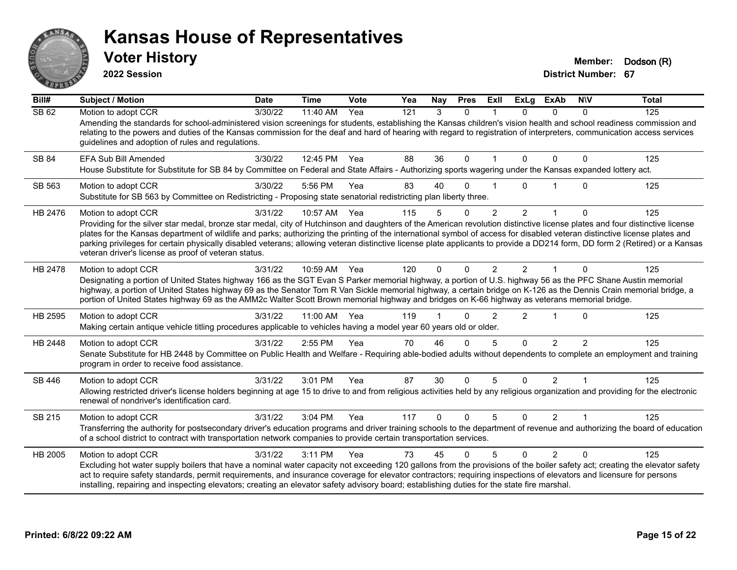

**2022 Session**

**Voter History Member: Dodson** (R)

| Bill#        | <b>Subject / Motion</b>                                                                                                                                                                                                                                                                                                                                                                                                                                                                                                                                                                                                 | <b>Date</b>      | <b>Time</b>  | Vote | Yea | Nay      | <b>Pres</b> | ExII           | <b>ExLg</b>    | <b>ExAb</b>    | <b>NIV</b>     | <b>Total</b> |
|--------------|-------------------------------------------------------------------------------------------------------------------------------------------------------------------------------------------------------------------------------------------------------------------------------------------------------------------------------------------------------------------------------------------------------------------------------------------------------------------------------------------------------------------------------------------------------------------------------------------------------------------------|------------------|--------------|------|-----|----------|-------------|----------------|----------------|----------------|----------------|--------------|
| <b>SB 62</b> | Motion to adopt CCR<br>Amending the standards for school-administered vision screenings for students, establishing the Kansas children's vision health and school readiness commission and<br>relating to the powers and duties of the Kansas commission for the deaf and hard of hearing with regard to registration of interpreters, communication access services<br>guidelines and adoption of rules and regulations.                                                                                                                                                                                               | $\sqrt{3}/30/22$ | 11:40 AM     | Yea  | 121 | 3        | $\Omega$    |                | $\Omega$       | $\Omega$       | 0              | 125          |
| SB 84        | EFA Sub Bill Amended<br>House Substitute for Substitute for SB 84 by Committee on Federal and State Affairs - Authorizing sports wagering under the Kansas expanded lottery act.                                                                                                                                                                                                                                                                                                                                                                                                                                        | 3/30/22          | 12:45 PM     | Yea  | 88  | 36       | $\mathbf 0$ |                | 0              | $\Omega$       | 0              | 125          |
| SB 563       | Motion to adopt CCR<br>Substitute for SB 563 by Committee on Redistricting - Proposing state senatorial redistricting plan liberty three.                                                                                                                                                                                                                                                                                                                                                                                                                                                                               | 3/30/22          | 5:56 PM      | Yea  | 83  | 40       | $\Omega$    |                | $\Omega$       |                | $\Omega$       | 125          |
| HB 2476      | Motion to adopt CCR<br>Providing for the silver star medal, bronze star medal, city of Hutchinson and daughters of the American revolution distinctive license plates and four distinctive license<br>plates for the Kansas department of wildlife and parks; authorizing the printing of the international symbol of access for disabled veteran distinctive license plates and<br>parking privileges for certain physically disabled veterans; allowing veteran distinctive license plate applicants to provide a DD214 form, DD form 2 (Retired) or a Kansas<br>veteran driver's license as proof of veteran status. | 3/31/22          | 10:57 AM     | Yea  | 115 | 5        | 0           | $\overline{2}$ | $\overline{2}$ |                | 0              | 125          |
| HB 2478      | Motion to adopt CCR<br>Designating a portion of United States highway 166 as the SGT Evan S Parker memorial highway, a portion of U.S. highway 56 as the PFC Shane Austin memorial<br>highway, a portion of United States highway 69 as the Senator Tom R Van Sickle memorial highway, a certain bridge on K-126 as the Dennis Crain memorial bridge, a<br>portion of United States highway 69 as the AMM2c Walter Scott Brown memorial highway and bridges on K-66 highway as veterans memorial bridge.                                                                                                                | 3/31/22          | 10:59 AM Yea |      | 120 | $\Omega$ | $\Omega$    | $\mathfrak{p}$ | $\mathcal{P}$  |                | $\Omega$       | 125          |
| HB 2595      | Motion to adopt CCR<br>Making certain antique vehicle titling procedures applicable to vehicles having a model year 60 years old or older.                                                                                                                                                                                                                                                                                                                                                                                                                                                                              | 3/31/22          | 11:00 AM     | Yea  | 119 |          | U           | $\mathfrak{p}$ | $\overline{2}$ |                | 0              | 125          |
| HB 2448      | Motion to adopt CCR<br>Senate Substitute for HB 2448 by Committee on Public Health and Welfare - Requiring able-bodied adults without dependents to complete an employment and training<br>program in order to receive food assistance.                                                                                                                                                                                                                                                                                                                                                                                 | 3/31/22          | 2:55 PM      | Yea  | 70  | 46       | $\Omega$    | 5              | $\Omega$       | $\mathcal{P}$  | $\overline{2}$ | 125          |
| SB 446       | Motion to adopt CCR<br>Allowing restricted driver's license holders beginning at age 15 to drive to and from religious activities held by any religious organization and providing for the electronic<br>renewal of nondriver's identification card.                                                                                                                                                                                                                                                                                                                                                                    | 3/31/22          | 3:01 PM      | Yea  | 87  | 30       | $\Omega$    | 5              | $\Omega$       | $\overline{2}$ | 1              | 125          |
| SB 215       | Motion to adopt CCR<br>Transferring the authority for postsecondary driver's education programs and driver training schools to the department of revenue and authorizing the board of education<br>of a school district to contract with transportation network companies to provide certain transportation services.                                                                                                                                                                                                                                                                                                   | 3/31/22          | 3:04 PM      | Yea  | 117 | $\Omega$ | $\Omega$    | 5              | $\Omega$       | $\overline{2}$ | $\mathbf{1}$   | 125          |
| HB 2005      | Motion to adopt CCR<br>Excluding hot water supply boilers that have a nominal water capacity not exceeding 120 gallons from the provisions of the boiler safety act; creating the elevator safety<br>act to require safety standards, permit requirements, and insurance coverage for elevator contractors; requiring inspections of elevators and licensure for persons<br>installing, repairing and inspecting elevators; creating an elevator safety advisory board; establishing duties for the state fire marshal.                                                                                                 | 3/31/22          | 3:11 PM      | Yea  | 73  | 45       | $\Omega$    | 5              | $\Omega$       | $\overline{2}$ | $\Omega$       | 125          |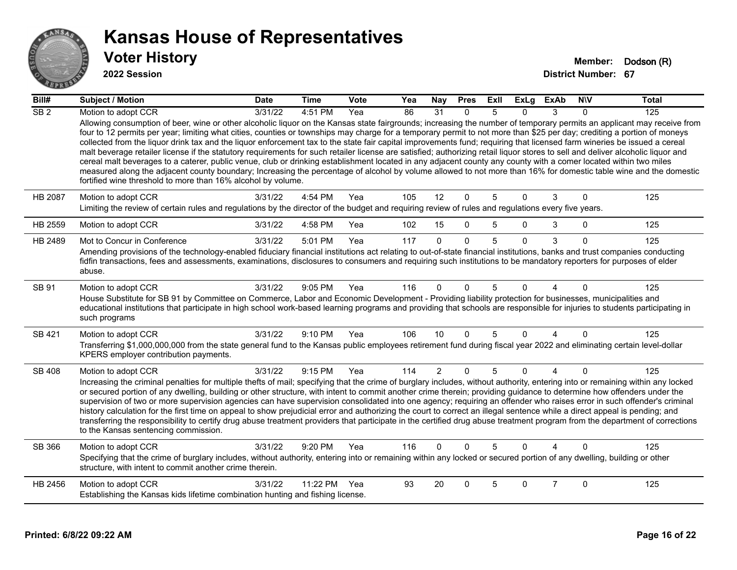

| $\overline{BiII#}$ | <b>Subject / Motion</b>                                                                                                                                                                                                                                                                                                                                                                                                                                                                                                                                                                                                                                                                                                                                                                                                                                                                                                                                                                                                                                                                                                                          | <b>Date</b> | <b>Time</b> | Vote | Yea | Nay            | <b>Pres</b> | ExII | <b>ExLg</b> | <b>ExAb</b>    | <b>NIV</b> | <b>Total</b> |
|--------------------|--------------------------------------------------------------------------------------------------------------------------------------------------------------------------------------------------------------------------------------------------------------------------------------------------------------------------------------------------------------------------------------------------------------------------------------------------------------------------------------------------------------------------------------------------------------------------------------------------------------------------------------------------------------------------------------------------------------------------------------------------------------------------------------------------------------------------------------------------------------------------------------------------------------------------------------------------------------------------------------------------------------------------------------------------------------------------------------------------------------------------------------------------|-------------|-------------|------|-----|----------------|-------------|------|-------------|----------------|------------|--------------|
| $\overline{SB2}$   | Motion to adopt CCR<br>Allowing consumption of beer, wine or other alcoholic liquor on the Kansas state fairgrounds; increasing the number of temporary permits an applicant may receive from<br>four to 12 permits per year; limiting what cities, counties or townships may charge for a temporary permit to not more than \$25 per day; crediting a portion of moneys<br>collected from the liquor drink tax and the liquor enforcement tax to the state fair capital improvements fund; requiring that licensed farm wineries be issued a cereal<br>malt beverage retailer license if the statutory requirements for such retailer license are satisfied; authorizing retail liquor stores to sell and deliver alcoholic liquor and<br>cereal malt beverages to a caterer, public venue, club or drinking establishment located in any adjacent county any county with a comer located within two miles<br>measured along the adjacent county boundary; Increasing the percentage of alcohol by volume allowed to not more than 16% for domestic table wine and the domestic<br>fortified wine threshold to more than 16% alcohol by volume. | 3/31/22     | 4:51 PM     | Yea  | 86  | 31             | $\Omega$    | 5    | $\Omega$    | 3              | 0          | 125          |
| HB 2087            | Motion to adopt CCR<br>Limiting the review of certain rules and regulations by the director of the budget and requiring review of rules and regulations every five years.                                                                                                                                                                                                                                                                                                                                                                                                                                                                                                                                                                                                                                                                                                                                                                                                                                                                                                                                                                        | 3/31/22     | 4:54 PM     | Yea  | 105 | 12             | $\Omega$    | 5    | $\Omega$    | 3              | $\Omega$   | 125          |
| HB 2559            | Motion to adopt CCR                                                                                                                                                                                                                                                                                                                                                                                                                                                                                                                                                                                                                                                                                                                                                                                                                                                                                                                                                                                                                                                                                                                              | 3/31/22     | 4:58 PM     | Yea  | 102 | 15             | $\Omega$    | 5    | $\Omega$    | 3              | $\Omega$   | 125          |
| HB 2489            | Mot to Concur in Conference<br>Amending provisions of the technology-enabled fiduciary financial institutions act relating to out-of-state financial institutions, banks and trust companies conducting<br>fidfin transactions, fees and assessments, examinations, disclosures to consumers and requiring such institutions to be mandatory reporters for purposes of elder<br>abuse.                                                                                                                                                                                                                                                                                                                                                                                                                                                                                                                                                                                                                                                                                                                                                           | 3/31/22     | 5:01 PM     | Yea  | 117 | $\Omega$       | $\Omega$    | 5    | $\Omega$    | 3              | $\Omega$   | 125          |
| SB 91              | Motion to adopt CCR<br>House Substitute for SB 91 by Committee on Commerce, Labor and Economic Development - Providing liability protection for businesses, municipalities and<br>educational institutions that participate in high school work-based learning programs and providing that schools are responsible for injuries to students participating in<br>such programs                                                                                                                                                                                                                                                                                                                                                                                                                                                                                                                                                                                                                                                                                                                                                                    | 3/31/22     | 9:05 PM     | Yea  | 116 | $\Omega$       | $\Omega$    | 5    | $\Omega$    | Δ              | $\Omega$   | 125          |
| SB 421             | Motion to adopt CCR<br>Transferring \$1,000,000,000 from the state general fund to the Kansas public employees retirement fund during fiscal year 2022 and eliminating certain level-dollar<br>KPERS employer contribution payments.                                                                                                                                                                                                                                                                                                                                                                                                                                                                                                                                                                                                                                                                                                                                                                                                                                                                                                             | 3/31/22     | 9:10 PM     | Yea  | 106 | 10             | $\Omega$    | 5    | $\Omega$    | 4              | $\Omega$   | 125          |
| <b>SB 408</b>      | Motion to adopt CCR<br>Increasing the criminal penalties for multiple thefts of mail; specifying that the crime of burglary includes, without authority, entering into or remaining within any locked<br>or secured portion of any dwelling, building or other structure, with intent to commit another crime therein; providing guidance to determine how offenders under the<br>supervision of two or more supervision agencies can have supervision consolidated into one agency; requiring an offender who raises error in such offender's criminal<br>history calculation for the first time on appeal to show prejudicial error and authorizing the court to correct an illegal sentence while a direct appeal is pending; and<br>transferring the responsibility to certify drug abuse treatment providers that participate in the certified drug abuse treatment program from the department of corrections<br>to the Kansas sentencing commission.                                                                                                                                                                                      | 3/31/22     | 9:15 PM     | Yea  | 114 | $\overline{2}$ | $\mathbf 0$ | 5    | $\Omega$    | 4              | $\Omega$   | 125          |
| SB 366             | Motion to adopt CCR<br>Specifying that the crime of burglary includes, without authority, entering into or remaining within any locked or secured portion of any dwelling, building or other<br>structure, with intent to commit another crime therein.                                                                                                                                                                                                                                                                                                                                                                                                                                                                                                                                                                                                                                                                                                                                                                                                                                                                                          | 3/31/22     | 9:20 PM     | Yea  | 116 | $\Omega$       | $\Omega$    | 5    | $\Omega$    | Λ              | U          | 125          |
| HB 2456            | Motion to adopt CCR<br>Establishing the Kansas kids lifetime combination hunting and fishing license.                                                                                                                                                                                                                                                                                                                                                                                                                                                                                                                                                                                                                                                                                                                                                                                                                                                                                                                                                                                                                                            | 3/31/22     | 11:22 PM    | Yea  | 93  | 20             | $\Omega$    | 5    | $\Omega$    | $\overline{7}$ | $\Omega$   | 125          |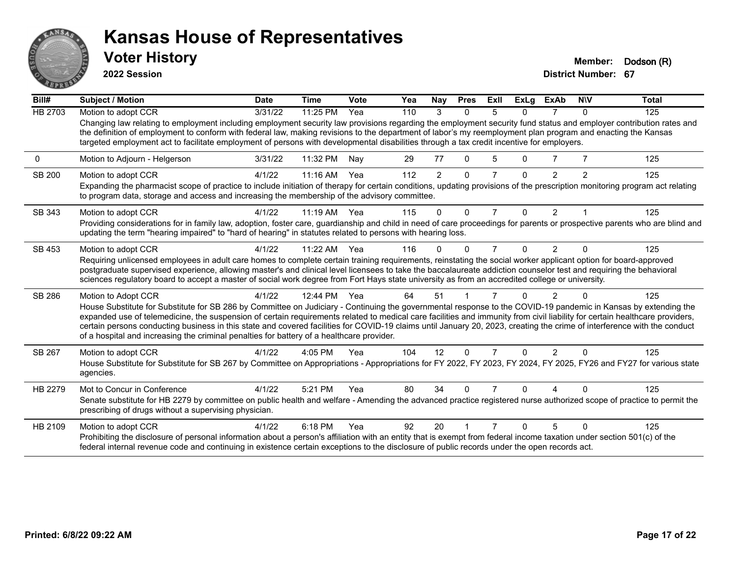

**2022 Session**

**Voter History Member: Dodson** (R)

| Bill#          | Subject / Motion                                                                                                                                                                                                                                                                                                                                                                                                                                                                                                                                                                                                        | <b>Date</b> | <b>Time</b> | Vote | Yea | <b>Nay</b>     | <b>Pres</b>  | ExII           | <b>ExLg</b> | <b>ExAb</b>    | <b>NIV</b> | <b>Total</b> |
|----------------|-------------------------------------------------------------------------------------------------------------------------------------------------------------------------------------------------------------------------------------------------------------------------------------------------------------------------------------------------------------------------------------------------------------------------------------------------------------------------------------------------------------------------------------------------------------------------------------------------------------------------|-------------|-------------|------|-----|----------------|--------------|----------------|-------------|----------------|------------|--------------|
| <b>HB 2703</b> | Motion to adopt CCR                                                                                                                                                                                                                                                                                                                                                                                                                                                                                                                                                                                                     | 3/31/22     | 11:25 PM    | Yea  | 110 | 3              | $\Omega$     | 5              | $\Omega$    |                | $\Omega$   | 125          |
|                | Changing law relating to employment including employment security law provisions regarding the employment security fund status and employer contribution rates and<br>the definition of employment to conform with federal law, making revisions to the department of labor's my reemployment plan program and enacting the Kansas<br>targeted employment act to facilitate employment of persons with developmental disabilities through a tax credit incentive for employers.                                                                                                                                         |             |             |      |     |                |              |                |             |                |            |              |
| 0              | Motion to Adjourn - Helgerson                                                                                                                                                                                                                                                                                                                                                                                                                                                                                                                                                                                           | 3/31/22     | 11:32 PM    | Nav  | 29  | 77             | $\mathbf{0}$ | 5              | 0           |                |            | 125          |
| <b>SB 200</b>  | Motion to adopt CCR                                                                                                                                                                                                                                                                                                                                                                                                                                                                                                                                                                                                     | 4/1/22      | $11:16$ AM  | Yea  | 112 | $\overline{2}$ | $\Omega$     | 7              | $\Omega$    | $\overline{2}$ | 2          | 125          |
|                | Expanding the pharmacist scope of practice to include initiation of therapy for certain conditions, updating provisions of the prescription monitoring program act relating<br>to program data, storage and access and increasing the membership of the advisory committee.                                                                                                                                                                                                                                                                                                                                             |             |             |      |     |                |              |                |             |                |            |              |
| SB 343         | Motion to adopt CCR                                                                                                                                                                                                                                                                                                                                                                                                                                                                                                                                                                                                     | 4/1/22      | 11:19 AM    | Yea  | 115 | $\Omega$       | $\Omega$     | $\overline{7}$ | $\Omega$    | $\overline{2}$ |            | 125          |
|                | Providing considerations for in family law, adoption, foster care, guardianship and child in need of care proceedings for parents or prospective parents who are blind and<br>updating the term "hearing impaired" to "hard of hearing" in statutes related to persons with hearing loss.                                                                                                                                                                                                                                                                                                                               |             |             |      |     |                |              |                |             |                |            |              |
| SB 453         | Motion to adopt CCR                                                                                                                                                                                                                                                                                                                                                                                                                                                                                                                                                                                                     | 4/1/22      | 11:22 AM    | Yea  | 116 | 0              | $\Omega$     | 7              | 0           | $\overline{2}$ | $\Omega$   | 125          |
|                | Requiring unlicensed employees in adult care homes to complete certain training requirements, reinstating the social worker applicant option for board-approved<br>postgraduate supervised experience, allowing master's and clinical level licensees to take the baccalaureate addiction counselor test and requiring the behavioral<br>sciences regulatory board to accept a master of social work degree from Fort Hays state university as from an accredited college or university.                                                                                                                                |             |             |      |     |                |              |                |             |                |            |              |
| SB 286         | Motion to Adopt CCR                                                                                                                                                                                                                                                                                                                                                                                                                                                                                                                                                                                                     | 4/1/22      | 12:44 PM    | Yea  | 64  | 51             |              |                |             |                |            | 125          |
|                | House Substitute for Substitute for SB 286 by Committee on Judiciary - Continuing the governmental response to the COVID-19 pandemic in Kansas by extending the<br>expanded use of telemedicine, the suspension of certain requirements related to medical care facilities and immunity from civil liability for certain healthcare providers,<br>certain persons conducting business in this state and covered facilities for COVID-19 claims until January 20, 2023, creating the crime of interference with the conduct<br>of a hospital and increasing the criminal penalties for battery of a healthcare provider. |             |             |      |     |                |              |                |             |                |            |              |
| SB 267         | Motion to adopt CCR                                                                                                                                                                                                                                                                                                                                                                                                                                                                                                                                                                                                     | 4/1/22      | 4:05 PM     | Yea  | 104 | 12             | $\Omega$     | 7              | $\Omega$    | 2              | $\Omega$   | 125          |
|                | House Substitute for Substitute for SB 267 by Committee on Appropriations - Appropriations for FY 2022, FY 2023, FY 2024, FY 2025, FY26 and FY27 for various state<br>agencies.                                                                                                                                                                                                                                                                                                                                                                                                                                         |             |             |      |     |                |              |                |             |                |            |              |
| HB 2279        | Mot to Concur in Conference                                                                                                                                                                                                                                                                                                                                                                                                                                                                                                                                                                                             | 4/1/22      | 5:21 PM     | Yea  | 80  | 34             | $\Omega$     | 7              | 0           | Δ              | $\Omega$   | 125          |
|                | Senate substitute for HB 2279 by committee on public health and welfare - Amending the advanced practice registered nurse authorized scope of practice to permit the<br>prescribing of drugs without a supervising physician.                                                                                                                                                                                                                                                                                                                                                                                           |             |             |      |     |                |              |                |             |                |            |              |
| HB 2109        | Motion to adopt CCR                                                                                                                                                                                                                                                                                                                                                                                                                                                                                                                                                                                                     | 4/1/22      | 6:18 PM     | Yea  | 92  | 20             |              |                |             |                | ∩          | 125          |
|                | Prohibiting the disclosure of personal information about a person's affiliation with an entity that is exempt from federal income taxation under section 501(c) of the<br>federal internal revenue code and continuing in existence certain exceptions to the disclosure of public records under the open records act.                                                                                                                                                                                                                                                                                                  |             |             |      |     |                |              |                |             |                |            |              |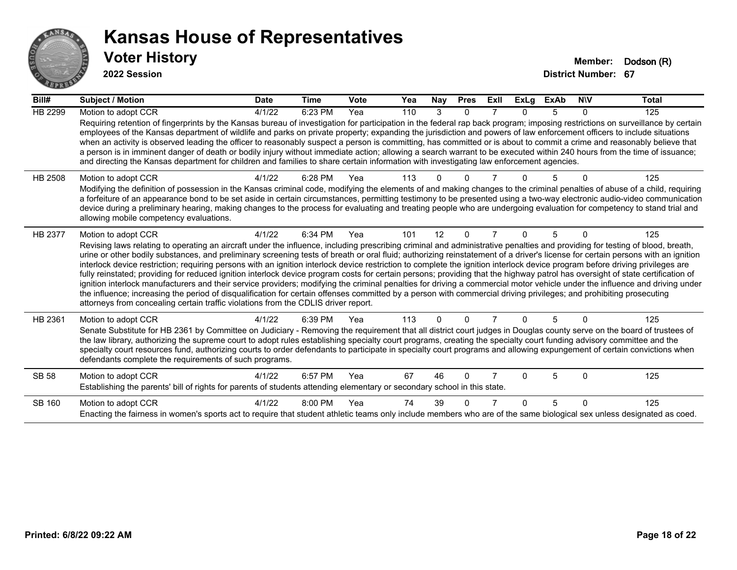

| Bill#          | Subject / Motion                                                                                                                                                                                                                                                                                                                                                                                                                                                                                                                                                                                                                                                                                                                                                                                                                                                                                                                                                                                                                                                                                                                                                                                      | <b>Date</b> | <b>Time</b> | <b>Vote</b> | Yea | Nay      | <b>Pres</b> | ExII | <b>ExLg</b> | <b>ExAb</b> | <b>NIV</b>   | <b>Total</b> |
|----------------|-------------------------------------------------------------------------------------------------------------------------------------------------------------------------------------------------------------------------------------------------------------------------------------------------------------------------------------------------------------------------------------------------------------------------------------------------------------------------------------------------------------------------------------------------------------------------------------------------------------------------------------------------------------------------------------------------------------------------------------------------------------------------------------------------------------------------------------------------------------------------------------------------------------------------------------------------------------------------------------------------------------------------------------------------------------------------------------------------------------------------------------------------------------------------------------------------------|-------------|-------------|-------------|-----|----------|-------------|------|-------------|-------------|--------------|--------------|
| <b>HB 2299</b> | Motion to adopt CCR                                                                                                                                                                                                                                                                                                                                                                                                                                                                                                                                                                                                                                                                                                                                                                                                                                                                                                                                                                                                                                                                                                                                                                                   | 4/1/22      | 6:23 PM     | Yea         | 110 | 3        | 0           |      |             | 5           | 0            | 125          |
|                | Requiring retention of fingerprints by the Kansas bureau of investigation for participation in the federal rap back program; imposing restrictions on surveillance by certain<br>employees of the Kansas department of wildlife and parks on private property; expanding the jurisdiction and powers of law enforcement officers to include situations<br>when an activity is observed leading the officer to reasonably suspect a person is committing, has committed or is about to commit a crime and reasonably believe that<br>a person is in imminent danger of death or bodily injury without immediate action; allowing a search warrant to be executed within 240 hours from the time of issuance;<br>and directing the Kansas department for children and families to share certain information with investigating law enforcement agencies.                                                                                                                                                                                                                                                                                                                                                |             |             |             |     |          |             |      |             |             |              |              |
| HB 2508        | Motion to adopt CCR<br>Modifying the definition of possession in the Kansas criminal code, modifying the elements of and making changes to the criminal penalties of abuse of a child, requiring<br>a forfeiture of an appearance bond to be set aside in certain circumstances, permitting testimony to be presented using a two-way electronic audio-video communication<br>device during a preliminary hearing, making changes to the process for evaluating and treating people who are undergoing evaluation for competency to stand trial and<br>allowing mobile competency evaluations.                                                                                                                                                                                                                                                                                                                                                                                                                                                                                                                                                                                                        | 4/1/22      | 6:28 PM     | Yea         | 113 |          |             |      |             |             |              | 125          |
| HB 2377        | Motion to adopt CCR<br>Revising laws relating to operating an aircraft under the influence, including prescribing criminal and administrative penalties and providing for testing of blood, breath,<br>urine or other bodily substances, and preliminary screening tests of breath or oral fluid; authorizing reinstatement of a driver's license for certain persons with an ignition<br>interlock device restriction; requiring persons with an ignition interlock device restriction to complete the ignition interlock device program before driving privileges are<br>fully reinstated; providing for reduced ignition interlock device program costs for certain persons; providing that the highway patrol has oversight of state certification of<br>ignition interlock manufacturers and their service providers; modifying the criminal penalties for driving a commercial motor vehicle under the influence and driving under<br>the influence; increasing the period of disqualification for certain offenses committed by a person with commercial driving privileges; and prohibiting prosecuting<br>attorneys from concealing certain traffic violations from the CDLIS driver report. | 4/1/22      | 6:34 PM     | Yea         | 101 | 12       | 0           |      | U           | 5           | $\Omega$     | 125          |
| HB 2361        | Motion to adopt CCR<br>Senate Substitute for HB 2361 by Committee on Judiciary - Removing the requirement that all district court judges in Douglas county serve on the board of trustees of<br>the law library, authorizing the supreme court to adopt rules establishing specialty court programs, creating the specialty court funding advisory committee and the<br>specialty court resources fund, authorizing courts to order defendants to participate in specialty court programs and allowing expungement of certain convictions when<br>defendants complete the requirements of such programs.                                                                                                                                                                                                                                                                                                                                                                                                                                                                                                                                                                                              | 4/1/22      | 6:39 PM     | Yea         | 113 | $\Omega$ | 0           |      | $\Omega$    | 5           | $\mathbf{0}$ | 125          |
| <b>SB 58</b>   | Motion to adopt CCR<br>Establishing the parents' bill of rights for parents of students attending elementary or secondary school in this state.                                                                                                                                                                                                                                                                                                                                                                                                                                                                                                                                                                                                                                                                                                                                                                                                                                                                                                                                                                                                                                                       | 4/1/22      | 6:57 PM     | Yea         | 67  | 46       | 0           |      | U           | 5           | $\Omega$     | 125          |
| SB 160         | Motion to adopt CCR<br>Enacting the fairness in women's sports act to require that student athletic teams only include members who are of the same biological sex unless designated as coed.                                                                                                                                                                                                                                                                                                                                                                                                                                                                                                                                                                                                                                                                                                                                                                                                                                                                                                                                                                                                          | 4/1/22      | 8:00 PM     | Yea         | 74  | 39       | ŋ           |      | n           | 5           | $\Omega$     | 125          |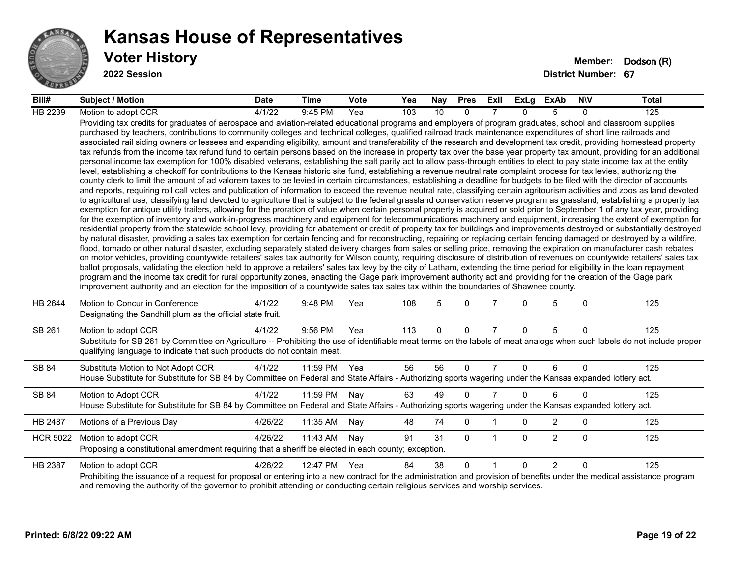

| Bill#           | <b>Subject / Motion</b>                                                                                                                                                                                                                                                                                                                                                                                                                                                                                                                                                                                                                                                                                                                                                                                                                                                                                                                                                                                                                                                                                                                                                                                                                                                                                                                                                                                                                                                                                                                                                                                                                                                                                                                                                                                                                                                                                                                                                                                                                                                                                                                                                                                                                                                                                                                                                                                                                                                                                                                                                                                                                                                                                                                                                                                                                                                                                                                                                                                                                                                                                                                                                     | <b>Date</b> | <b>Time</b> | <b>Vote</b> | Yea | Nay          | <b>Pres</b> | ExII           | ExLg     | ExAb           | <b>NIV</b>   | Total |
|-----------------|-----------------------------------------------------------------------------------------------------------------------------------------------------------------------------------------------------------------------------------------------------------------------------------------------------------------------------------------------------------------------------------------------------------------------------------------------------------------------------------------------------------------------------------------------------------------------------------------------------------------------------------------------------------------------------------------------------------------------------------------------------------------------------------------------------------------------------------------------------------------------------------------------------------------------------------------------------------------------------------------------------------------------------------------------------------------------------------------------------------------------------------------------------------------------------------------------------------------------------------------------------------------------------------------------------------------------------------------------------------------------------------------------------------------------------------------------------------------------------------------------------------------------------------------------------------------------------------------------------------------------------------------------------------------------------------------------------------------------------------------------------------------------------------------------------------------------------------------------------------------------------------------------------------------------------------------------------------------------------------------------------------------------------------------------------------------------------------------------------------------------------------------------------------------------------------------------------------------------------------------------------------------------------------------------------------------------------------------------------------------------------------------------------------------------------------------------------------------------------------------------------------------------------------------------------------------------------------------------------------------------------------------------------------------------------------------------------------------------------------------------------------------------------------------------------------------------------------------------------------------------------------------------------------------------------------------------------------------------------------------------------------------------------------------------------------------------------------------------------------------------------------------------------------------------------|-------------|-------------|-------------|-----|--------------|-------------|----------------|----------|----------------|--------------|-------|
| HB 2239         | Motion to adopt CCR                                                                                                                                                                                                                                                                                                                                                                                                                                                                                                                                                                                                                                                                                                                                                                                                                                                                                                                                                                                                                                                                                                                                                                                                                                                                                                                                                                                                                                                                                                                                                                                                                                                                                                                                                                                                                                                                                                                                                                                                                                                                                                                                                                                                                                                                                                                                                                                                                                                                                                                                                                                                                                                                                                                                                                                                                                                                                                                                                                                                                                                                                                                                                         | 4/1/22      | 9:45 PM     | Yea         | 103 | 10           | $\Omega$    |                | $\Omega$ | 5              | $\Omega$     | 125   |
|                 | Providing tax credits for graduates of aerospace and aviation-related educational programs and employers of program graduates, school and classroom supplies<br>purchased by teachers, contributions to community colleges and technical colleges, qualified railroad track maintenance expenditures of short line railroads and<br>associated rail siding owners or lessees and expanding eligibility, amount and transferability of the research and development tax credit, providing homestead property<br>tax refunds from the income tax refund fund to certain persons based on the increase in property tax over the base year property tax amount, providing for an additional<br>personal income tax exemption for 100% disabled veterans, establishing the salt parity act to allow pass-through entities to elect to pay state income tax at the entity<br>level, establishing a checkoff for contributions to the Kansas historic site fund, establishing a revenue neutral rate complaint process for tax levies, authorizing the<br>county clerk to limit the amount of ad valorem taxes to be levied in certain circumstances, establishing a deadline for budgets to be filed with the director of accounts<br>and reports, requiring roll call votes and publication of information to exceed the revenue neutral rate, classifying certain agritourism activities and zoos as land devoted<br>to agricultural use, classifying land devoted to agriculture that is subject to the federal grassland conservation reserve program as grassland, establishing a property tax<br>exemption for antique utility trailers, allowing for the proration of value when certain personal property is acquired or sold prior to September 1 of any tax year, providing<br>for the exemption of inventory and work-in-progress machinery and equipment for telecommunications machinery and equipment, increasing the extent of exemption for<br>residential property from the statewide school levy, providing for abatement or credit of property tax for buildings and improvements destroyed or substantially destroyed<br>by natural disaster, providing a sales tax exemption for certain fencing and for reconstructing, repairing or replacing certain fencing damaged or destroyed by a wildfire,<br>flood, tornado or other natural disaster, excluding separately stated delivery charges from sales or selling price, removing the expiration on manufacturer cash rebates<br>on motor vehicles, providing countywide retailers' sales tax authority for Wilson county, requiring disclosure of distribution of revenues on countywide retailers' sales tax<br>ballot proposals, validating the election held to approve a retailers' sales tax levy by the city of Latham, extending the time period for eligibility in the loan repayment<br>program and the income tax credit for rural opportunity zones, enacting the Gage park improvement authority act and providing for the creation of the Gage park<br>improvement authority and an election for the imposition of a countywide sales tax sales tax within the boundaries of Shawnee county. |             |             |             |     |              |             |                |          |                |              |       |
| HB 2644         | Motion to Concur in Conference<br>Designating the Sandhill plum as the official state fruit.                                                                                                                                                                                                                                                                                                                                                                                                                                                                                                                                                                                                                                                                                                                                                                                                                                                                                                                                                                                                                                                                                                                                                                                                                                                                                                                                                                                                                                                                                                                                                                                                                                                                                                                                                                                                                                                                                                                                                                                                                                                                                                                                                                                                                                                                                                                                                                                                                                                                                                                                                                                                                                                                                                                                                                                                                                                                                                                                                                                                                                                                                | 4/1/22      | 9:48 PM     | Yea         | 108 | 5            | $\Omega$    |                | 0        | 5              | $\mathbf{0}$ | 125   |
| SB 261          | Motion to adopt CCR<br>Substitute for SB 261 by Committee on Agriculture -- Prohibiting the use of identifiable meat terms on the labels of meat analogs when such labels do not include proper<br>qualifying language to indicate that such products do not contain meat.                                                                                                                                                                                                                                                                                                                                                                                                                                                                                                                                                                                                                                                                                                                                                                                                                                                                                                                                                                                                                                                                                                                                                                                                                                                                                                                                                                                                                                                                                                                                                                                                                                                                                                                                                                                                                                                                                                                                                                                                                                                                                                                                                                                                                                                                                                                                                                                                                                                                                                                                                                                                                                                                                                                                                                                                                                                                                                  | 4/1/22      | 9:56 PM     | Yea         | 113 | $\mathbf{0}$ | $\Omega$    | $\overline{7}$ | $\Omega$ | 5              | $\mathbf{0}$ | 125   |
| SB 84           | Substitute Motion to Not Adopt CCR<br>House Substitute for Substitute for SB 84 by Committee on Federal and State Affairs - Authorizing sports wagering under the Kansas expanded lottery act.                                                                                                                                                                                                                                                                                                                                                                                                                                                                                                                                                                                                                                                                                                                                                                                                                                                                                                                                                                                                                                                                                                                                                                                                                                                                                                                                                                                                                                                                                                                                                                                                                                                                                                                                                                                                                                                                                                                                                                                                                                                                                                                                                                                                                                                                                                                                                                                                                                                                                                                                                                                                                                                                                                                                                                                                                                                                                                                                                                              | 4/1/22      | 11:59 PM    | Yea         | 56  | 56           | $\Omega$    | $\overline{7}$ | $\Omega$ | 6              | $\Omega$     | 125   |
| SB 84           | Motion to Adopt CCR<br>House Substitute for Substitute for SB 84 by Committee on Federal and State Affairs - Authorizing sports wagering under the Kansas expanded lottery act.                                                                                                                                                                                                                                                                                                                                                                                                                                                                                                                                                                                                                                                                                                                                                                                                                                                                                                                                                                                                                                                                                                                                                                                                                                                                                                                                                                                                                                                                                                                                                                                                                                                                                                                                                                                                                                                                                                                                                                                                                                                                                                                                                                                                                                                                                                                                                                                                                                                                                                                                                                                                                                                                                                                                                                                                                                                                                                                                                                                             | 4/1/22      | 11:59 PM    | Nay         | 63  | 49           | $\Omega$    | $\overline{7}$ | $\Omega$ | 6              | $\Omega$     | 125   |
| HB 2487         | Motions of a Previous Day                                                                                                                                                                                                                                                                                                                                                                                                                                                                                                                                                                                                                                                                                                                                                                                                                                                                                                                                                                                                                                                                                                                                                                                                                                                                                                                                                                                                                                                                                                                                                                                                                                                                                                                                                                                                                                                                                                                                                                                                                                                                                                                                                                                                                                                                                                                                                                                                                                                                                                                                                                                                                                                                                                                                                                                                                                                                                                                                                                                                                                                                                                                                                   | 4/26/22     | 11:35 AM    | Nay         | 48  | 74           | 0           |                | 0        | $\overline{2}$ | $\mathbf 0$  | 125   |
| <b>HCR 5022</b> | Motion to adopt CCR<br>Proposing a constitutional amendment requiring that a sheriff be elected in each county; exception.                                                                                                                                                                                                                                                                                                                                                                                                                                                                                                                                                                                                                                                                                                                                                                                                                                                                                                                                                                                                                                                                                                                                                                                                                                                                                                                                                                                                                                                                                                                                                                                                                                                                                                                                                                                                                                                                                                                                                                                                                                                                                                                                                                                                                                                                                                                                                                                                                                                                                                                                                                                                                                                                                                                                                                                                                                                                                                                                                                                                                                                  | 4/26/22     | 11:43 AM    | Nay         | 91  | 31           | $\Omega$    | -1             | $\Omega$ | $\overline{2}$ | $\mathbf{0}$ | 125   |
| HB 2387         | Motion to adopt CCR<br>Prohibiting the issuance of a request for proposal or entering into a new contract for the administration and provision of benefits under the medical assistance program<br>and removing the authority of the governor to prohibit attending or conducting certain religious services and worship services.                                                                                                                                                                                                                                                                                                                                                                                                                                                                                                                                                                                                                                                                                                                                                                                                                                                                                                                                                                                                                                                                                                                                                                                                                                                                                                                                                                                                                                                                                                                                                                                                                                                                                                                                                                                                                                                                                                                                                                                                                                                                                                                                                                                                                                                                                                                                                                                                                                                                                                                                                                                                                                                                                                                                                                                                                                          | 4/26/22     | 12:47 PM    | Yea         | 84  | 38           | $\Omega$    | $\overline{1}$ | $\Omega$ | 2              | $\Omega$     | 125   |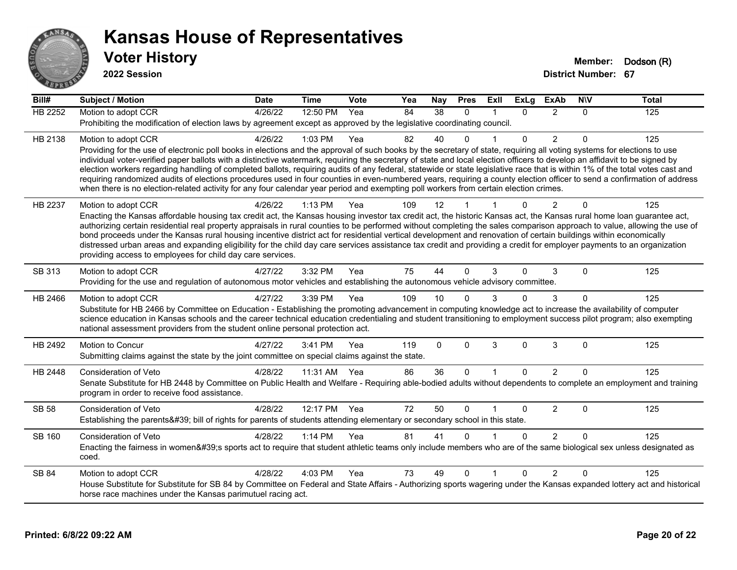

| Bill#          | <b>Subject / Motion</b>                                                                                                                                                                                                                                                                                                                                                                                                                                                                                                                                                                                                                                                                                                                                                                                                                                   | <b>Date</b> | <b>Time</b> | Vote | Yea | Nay      | <b>Pres</b> | ExII         | <b>ExLg</b>  | <b>ExAb</b>    | <b>NIV</b>   | <b>Total</b> |
|----------------|-----------------------------------------------------------------------------------------------------------------------------------------------------------------------------------------------------------------------------------------------------------------------------------------------------------------------------------------------------------------------------------------------------------------------------------------------------------------------------------------------------------------------------------------------------------------------------------------------------------------------------------------------------------------------------------------------------------------------------------------------------------------------------------------------------------------------------------------------------------|-------------|-------------|------|-----|----------|-------------|--------------|--------------|----------------|--------------|--------------|
| <b>HB 2252</b> | Motion to adopt CCR                                                                                                                                                                                                                                                                                                                                                                                                                                                                                                                                                                                                                                                                                                                                                                                                                                       | 4/26/22     | 12:50 PM    | Yea  | 84  | 38       | $\Omega$    |              | $\Omega$     | 2              | $\mathbf{0}$ | 125          |
|                | Prohibiting the modification of election laws by agreement except as approved by the legislative coordinating council.                                                                                                                                                                                                                                                                                                                                                                                                                                                                                                                                                                                                                                                                                                                                    |             |             |      |     |          |             |              |              |                |              |              |
| HB 2138        | Motion to adopt CCR                                                                                                                                                                                                                                                                                                                                                                                                                                                                                                                                                                                                                                                                                                                                                                                                                                       | 4/26/22     | 1:03 PM     | Yea  | 82  | 40       | $\Omega$    |              | $\Omega$     | 2              | $\Omega$     | 125          |
|                | Providing for the use of electronic poll books in elections and the approval of such books by the secretary of state, requiring all voting systems for elections to use<br>individual voter-verified paper ballots with a distinctive watermark, requiring the secretary of state and local election officers to develop an affidavit to be signed by<br>election workers regarding handling of completed ballots, requiring audits of any federal, statewide or state legislative race that is within 1% of the total votes cast and<br>requiring randomized audits of elections procedures used in four counties in even-numbered years, requiring a county election officer to send a confirmation of address<br>when there is no election-related activity for any four calendar year period and exempting poll workers from certain election crimes. |             |             |      |     |          |             |              |              |                |              |              |
| HB 2237        | Motion to adopt CCR                                                                                                                                                                                                                                                                                                                                                                                                                                                                                                                                                                                                                                                                                                                                                                                                                                       | 4/26/22     | $1:13$ PM   | Yea  | 109 | 12       |             |              | $\Omega$     | $\overline{2}$ | $\Omega$     | 125          |
|                | Enacting the Kansas affordable housing tax credit act, the Kansas housing investor tax credit act, the historic Kansas act, the Kansas rural home loan guarantee act,<br>authorizing certain residential real property appraisals in rural counties to be performed without completing the sales comparison approach to value, allowing the use of<br>bond proceeds under the Kansas rural housing incentive district act for residential vertical development and renovation of certain buildings within economically<br>distressed urban areas and expanding eligibility for the child day care services assistance tax credit and providing a credit for employer payments to an organization<br>providing access to employees for child day care services.                                                                                            |             |             |      |     |          |             |              |              |                |              |              |
| SB 313         | Motion to adopt CCR                                                                                                                                                                                                                                                                                                                                                                                                                                                                                                                                                                                                                                                                                                                                                                                                                                       | 4/27/22     | 3:32 PM     | Yea  | 75  | 44       | $\Omega$    | 3            | $\Omega$     | 3              | 0            | 125          |
|                | Providing for the use and regulation of autonomous motor vehicles and establishing the autonomous vehicle advisory committee.                                                                                                                                                                                                                                                                                                                                                                                                                                                                                                                                                                                                                                                                                                                             |             |             |      |     |          |             |              |              |                |              |              |
| HB 2466        | Motion to adopt CCR                                                                                                                                                                                                                                                                                                                                                                                                                                                                                                                                                                                                                                                                                                                                                                                                                                       | 4/27/22     | 3:39 PM     | Yea  | 109 | 10       | $\Omega$    | 3            | $\Omega$     | 3              | $\Omega$     | 125          |
|                | Substitute for HB 2466 by Committee on Education - Establishing the promoting advancement in computing knowledge act to increase the availability of computer<br>science education in Kansas schools and the career technical education credentialing and student transitioning to employment success pilot program; also exempting<br>national assessment providers from the student online personal protection act.                                                                                                                                                                                                                                                                                                                                                                                                                                     |             |             |      |     |          |             |              |              |                |              |              |
| HB 2492        | Motion to Concur<br>Submitting claims against the state by the joint committee on special claims against the state.                                                                                                                                                                                                                                                                                                                                                                                                                                                                                                                                                                                                                                                                                                                                       | 4/27/22     | 3:41 PM     | Yea  | 119 | $\Omega$ | $\Omega$    | 3            | $\Omega$     | 3              | 0            | 125          |
| HB 2448        | <b>Consideration of Veto</b>                                                                                                                                                                                                                                                                                                                                                                                                                                                                                                                                                                                                                                                                                                                                                                                                                              | 4/28/22     | 11:31 AM    | Yea  | 86  | 36       | $\Omega$    | $\mathbf{1}$ | $\Omega$     | $\overline{2}$ | $\Omega$     | 125          |
|                | Senate Substitute for HB 2448 by Committee on Public Health and Welfare - Requiring able-bodied adults without dependents to complete an employment and training<br>program in order to receive food assistance.                                                                                                                                                                                                                                                                                                                                                                                                                                                                                                                                                                                                                                          |             |             |      |     |          |             |              |              |                |              |              |
| <b>SB 58</b>   | Consideration of Veto                                                                                                                                                                                                                                                                                                                                                                                                                                                                                                                                                                                                                                                                                                                                                                                                                                     | 4/28/22     | 12:17 PM    | Yea  | 72  | 50       | $\Omega$    |              | $\Omega$     | $\overline{c}$ | $\mathbf 0$  | 125          |
|                | Establishing the parents' bill of rights for parents of students attending elementary or secondary school in this state.                                                                                                                                                                                                                                                                                                                                                                                                                                                                                                                                                                                                                                                                                                                                  |             |             |      |     |          |             |              |              |                |              |              |
| SB 160         | <b>Consideration of Veto</b><br>Enacting the fairness in women's sports act to require that student athletic teams only include members who are of the same biological sex unless designated as<br>coed.                                                                                                                                                                                                                                                                                                                                                                                                                                                                                                                                                                                                                                                  | 4/28/22     | 1:14 PM     | Yea  | 81  | 41       | 0           |              | $\mathbf{0}$ | $\overline{2}$ | $\Omega$     | 125          |
| SB 84          | Motion to adopt CCR                                                                                                                                                                                                                                                                                                                                                                                                                                                                                                                                                                                                                                                                                                                                                                                                                                       | 4/28/22     | 4:03 PM     | Yea  | 73  | 49       | $\Omega$    |              | $\Omega$     | 2              | $\Omega$     | 125          |
|                | House Substitute for Substitute for SB 84 by Committee on Federal and State Affairs - Authorizing sports wagering under the Kansas expanded lottery act and historical<br>horse race machines under the Kansas parimutuel racing act.                                                                                                                                                                                                                                                                                                                                                                                                                                                                                                                                                                                                                     |             |             |      |     |          |             |              |              |                |              |              |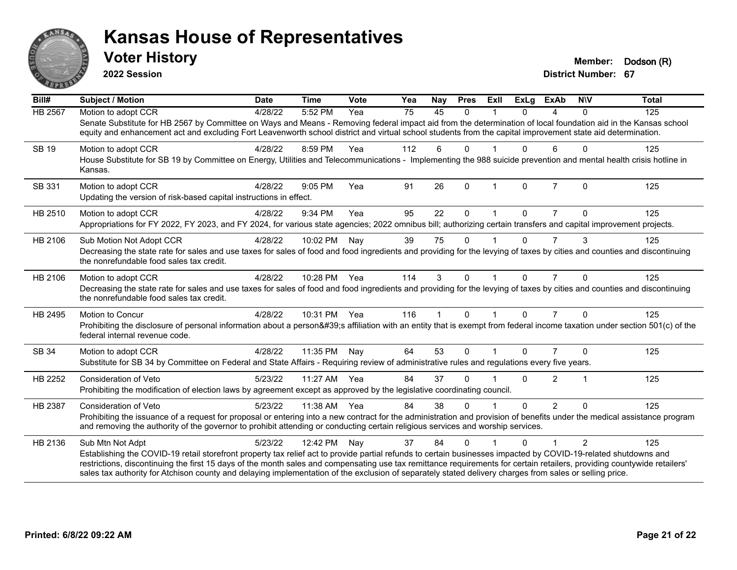

**2022 Session**

**District Number: 67 Voter History Member: Dodson** (R)

| Bill#        | <b>Subject / Motion</b>                                                                                                                                                                                                                                                                                                             | <b>Date</b> | <b>Time</b>  | <b>Vote</b> | Yea | <b>Nay</b>   | <b>Pres</b> | <b>Exll</b> | <b>ExLg</b> | <b>ExAb</b>    | <b>NIV</b>     | <b>Total</b> |
|--------------|-------------------------------------------------------------------------------------------------------------------------------------------------------------------------------------------------------------------------------------------------------------------------------------------------------------------------------------|-------------|--------------|-------------|-----|--------------|-------------|-------------|-------------|----------------|----------------|--------------|
| HB 2567      | Motion to adopt CCR                                                                                                                                                                                                                                                                                                                 | 4/28/22     | 5:52 PM      | Yea         | 75  | 45           | $\Omega$    |             | $\Omega$    | 4              | $\mathbf{0}$   | 125          |
|              | Senate Substitute for HB 2567 by Committee on Ways and Means - Removing federal impact aid from the determination of local foundation aid in the Kansas school<br>equity and enhancement act and excluding Fort Leavenworth school district and virtual school students from the capital improvement state aid determination.       |             |              |             |     |              |             |             |             |                |                |              |
| <b>SB 19</b> | Motion to adopt CCR                                                                                                                                                                                                                                                                                                                 | 4/28/22     | 8:59 PM      | Yea         | 112 | 6            | 0           |             | 0           | 6              | $\Omega$       | 125          |
|              | House Substitute for SB 19 by Committee on Energy, Utilities and Telecommunications - Implementing the 988 suicide prevention and mental health crisis hotline in<br>Kansas.                                                                                                                                                        |             |              |             |     |              |             |             |             |                |                |              |
| SB 331       | Motion to adopt CCR                                                                                                                                                                                                                                                                                                                 | 4/28/22     | 9:05 PM      | Yea         | 91  | 26           | $\Omega$    |             | $\Omega$    | $\overline{7}$ | $\Omega$       | 125          |
|              | Updating the version of risk-based capital instructions in effect.                                                                                                                                                                                                                                                                  |             |              |             |     |              |             |             |             |                |                |              |
| HB 2510      | Motion to adopt CCR                                                                                                                                                                                                                                                                                                                 | 4/28/22     | 9:34 PM      | Yea         | 95  | 22           | 0           |             | 0           |                | $\Omega$       | 125          |
|              | Appropriations for FY 2022, FY 2023, and FY 2024, for various state agencies; 2022 omnibus bill; authorizing certain transfers and capital improvement projects.                                                                                                                                                                    |             |              |             |     |              |             |             |             |                |                |              |
| HB 2106      | Sub Motion Not Adopt CCR                                                                                                                                                                                                                                                                                                            | 4/28/22     | 10:02 PM     | Nay         | 39  | 75           | $\Omega$    |             | $\Omega$    | $\overline{7}$ | 3              | 125          |
|              | Decreasing the state rate for sales and use taxes for sales of food and food ingredients and providing for the levying of taxes by cities and counties and discontinuing<br>the nonrefundable food sales tax credit.                                                                                                                |             |              |             |     |              |             |             |             |                |                |              |
| HB 2106      | Motion to adopt CCR                                                                                                                                                                                                                                                                                                                 | 4/28/22     | 10:28 PM Yea |             | 114 | 3            | $\Omega$    |             | $\Omega$    | $\overline{7}$ | $\Omega$       | 125          |
|              | Decreasing the state rate for sales and use taxes for sales of food and food ingredients and providing for the levying of taxes by cities and counties and discontinuing<br>the nonrefundable food sales tax credit.                                                                                                                |             |              |             |     |              |             |             |             |                |                |              |
| HB 2495      | Motion to Concur                                                                                                                                                                                                                                                                                                                    | 4/28/22     | 10:31 PM Yea |             | 116 | $\mathbf{1}$ | $\Omega$    |             | $\Omega$    | $\overline{7}$ | $\Omega$       | 125          |
|              | Prohibiting the disclosure of personal information about a person's affiliation with an entity that is exempt from federal income taxation under section 501(c) of the<br>federal internal revenue code.                                                                                                                            |             |              |             |     |              |             |             |             |                |                |              |
| SB 34        | Motion to adopt CCR                                                                                                                                                                                                                                                                                                                 | 4/28/22     | 11:35 PM     | Nay         | 64  | 53           | $\Omega$    |             | $\Omega$    |                | $\Omega$       | 125          |
|              | Substitute for SB 34 by Committee on Federal and State Affairs - Requiring review of administrative rules and regulations every five years.                                                                                                                                                                                         |             |              |             |     |              |             |             |             |                |                |              |
| HB 2252      | <b>Consideration of Veto</b>                                                                                                                                                                                                                                                                                                        | 5/23/22     | 11:27 AM     | Yea         | 84  | 37           | 0           |             | U           | $\overline{2}$ | 1              | 125          |
|              | Prohibiting the modification of election laws by agreement except as approved by the legislative coordinating council.                                                                                                                                                                                                              |             |              |             |     |              |             |             |             |                |                |              |
| HB 2387      | Consideration of Veto                                                                                                                                                                                                                                                                                                               | 5/23/22     | 11:38 AM     | Yea         | 84  | 38           | 0           |             | $\Omega$    | $\overline{2}$ | $\Omega$       | 125          |
|              | Prohibiting the issuance of a request for proposal or entering into a new contract for the administration and provision of benefits under the medical assistance program<br>and removing the authority of the governor to prohibit attending or conducting certain religious services and worship services.                         |             |              |             |     |              |             |             |             |                |                |              |
| HB 2136      | Sub Mtn Not Adpt                                                                                                                                                                                                                                                                                                                    | 5/23/22     | 12:42 PM     | Nay         | 37  | 84           | $\Omega$    |             | $\Omega$    |                | $\overline{2}$ | 125          |
|              | Establishing the COVID-19 retail storefront property tax relief act to provide partial refunds to certain businesses impacted by COVID-19-related shutdowns and                                                                                                                                                                     |             |              |             |     |              |             |             |             |                |                |              |
|              | restrictions, discontinuing the first 15 days of the month sales and compensating use tax remittance requirements for certain retailers, providing countywide retailers'<br>sales tax authority for Atchison county and delaying implementation of the exclusion of separately stated delivery charges from sales or selling price. |             |              |             |     |              |             |             |             |                |                |              |